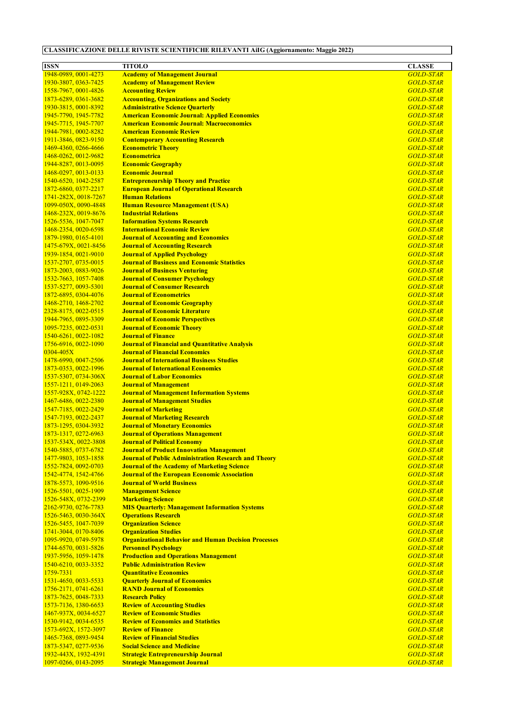| <b>ISSN</b>                                  | <b>TITOLO</b>                                                                           | <b>CLASSE</b>                        |
|----------------------------------------------|-----------------------------------------------------------------------------------------|--------------------------------------|
| 1948-0989, 0001-4273                         | <b>Academy of Management Journal</b>                                                    | <b>GOLD-STAR</b>                     |
| 1930-3807, 0363-7425                         | <b>Academy of Management Review</b>                                                     | <b>GOLD-STAR</b>                     |
| 1558-7967, 0001-4826                         | <b>Accounting Review</b>                                                                | <b>GOLD-STAR</b>                     |
| 1873-6289, 0361-3682                         | <b>Accounting, Organizations and Society</b>                                            | <b>GOLD-STAR</b>                     |
| 1930-3815, 0001-8392                         | <b>Administrative Science Quarterly</b>                                                 | <b>GOLD-STAR</b>                     |
| 1945-7790, 1945-7782                         | <b>American Economic Journal: Applied Economics</b>                                     | <b>GOLD-STAR</b>                     |
| 1945-7715, 1945-7707                         | <b>American Economic Journal: Macroeconomics</b>                                        | <b>GOLD-STAR</b>                     |
| 1944-7981, 0002-8282                         | <b>American Economic Review</b>                                                         | <b>GOLD-STAR</b>                     |
| 1911-3846, 0823-9150                         | <b>Contemporary Accounting Research</b>                                                 | <b>GOLD-STAR</b>                     |
| 1469-4360, 0266-4666                         | <b>Econometric Theory</b>                                                               | <b>GOLD-STAR</b>                     |
| 1468-0262, 0012-9682                         | <b>Econometrica</b>                                                                     | <b>GOLD-STAR</b>                     |
| 1944-8287, 0013-0095                         | <b>Economic Geography</b>                                                               | <b>GOLD-STAR</b>                     |
| 1468-0297, 0013-0133                         | <b>Economic Journal</b>                                                                 | <b>GOLD-STAR</b>                     |
| 1540-6520, 1042-2587                         | <b>Entrepreneurship Theory and Practice</b>                                             | <b>GOLD-STAR</b>                     |
| 1872-6860, 0377-2217                         | <b>European Journal of Operational Research</b>                                         | <b>GOLD-STAR</b>                     |
| 1741-282X, 0018-7267                         | <b>Human Relations</b>                                                                  | <b>GOLD-STAR</b>                     |
| 1099-050X, 0090-4848                         | <b>Human Resource Management (USA)</b>                                                  | <b>GOLD-STAR</b>                     |
| 1468-232X, 0019-8676                         | <b>Industrial Relations</b>                                                             | <b>GOLD-STAR</b>                     |
| 1526-5536, 1047-7047                         | <b>Information Systems Research</b>                                                     | <b>GOLD-STAR</b>                     |
| 1468-2354, 0020-6598                         | <b>International Economic Review</b>                                                    | <b>GOLD-STAR</b>                     |
| 1879-1980, 0165-4101                         | <b>Journal of Accounting and Economics</b>                                              | <b>GOLD-STAR</b>                     |
| 1475-679X, 0021-8456                         | <b>Journal of Accounting Research</b>                                                   | <b>GOLD-STAR</b>                     |
| 1939-1854, 0021-9010                         | <b>Journal of Applied Psychology</b>                                                    | <b>GOLD-STAR</b>                     |
| 1537-2707, 0735-0015                         | <b>Journal of Business and Economic Statistics</b>                                      | <b>GOLD-STAR</b>                     |
| 1873-2003, 0883-9026                         | <b>Journal of Business Venturing</b>                                                    | <b>GOLD-STAR</b>                     |
| 1532-7663, 1057-7408                         | <b>Journal of Consumer Psychology</b>                                                   | <b>GOLD-STAR</b>                     |
| 1537-5277, 0093-5301                         | <b>Journal of Consumer Research</b>                                                     | <b>GOLD-STAR</b>                     |
| 1872-6895, 0304-4076                         | <b>Journal of Econometrics</b>                                                          | <b>GOLD-STAR</b>                     |
| 1468-2710, 1468-2702                         | <b>Journal of Economic Geography</b>                                                    | <b>GOLD-STAR</b>                     |
| 2328-8175, 0022-0515                         | <b>Journal of Economic Literature</b>                                                   | <b>GOLD-STAR</b>                     |
| 1944-7965, 0895-3309                         | <b>Journal of Economic Perspectives</b>                                                 | <b>GOLD-STAR</b>                     |
| 1095-7235, 0022-0531                         | <b>Journal of Economic Theory</b>                                                       | <b>GOLD-STAR</b>                     |
| 1540-6261, 0022-1082                         | <b>Journal of Finance</b>                                                               | <b>GOLD-STAR</b>                     |
| 1756-6916, 0022-1090                         | <b>Journal of Financial and Quantitative Analysis</b>                                   | <b>GOLD-STAR</b>                     |
| $0304 - 405X$                                | <b>Journal of Financial Economics</b>                                                   | <b>GOLD-STAR</b>                     |
| 1478-6990, 0047-2506                         | <b>Journal of International Business Studies</b>                                        | <b>GOLD-STAR</b>                     |
| 1873-0353, 0022-1996                         | <b>Journal of International Economics</b>                                               | <b>GOLD-STAR</b>                     |
| 1537-5307, 0734-306X                         | <b>Journal of Labor Economics</b>                                                       | <b>GOLD-STAR</b>                     |
| 1557-1211, 0149-2063                         | <b>Journal of Management</b>                                                            | <b>GOLD-STAR</b>                     |
| 1557-928X, 0742-1222                         | <b>Journal of Management Information Systems</b>                                        | <b>GOLD-STAR</b>                     |
| 1467-6486, 0022-2380                         | <b>Journal of Management Studies</b>                                                    | <b>GOLD-STAR</b>                     |
| 1547-7185, 0022-2429                         | <b>Journal of Marketing</b>                                                             | <b>GOLD-STAR</b>                     |
| 1547-7193, 0022-2437                         | <b>Journal of Marketing Research</b>                                                    | <b>GOLD-STAR</b>                     |
| 1873-1295, 0304-3932                         | <b>Journal of Monetary Economics</b>                                                    | <b>GOLD-STAR</b>                     |
| 1873-1317, 0272-6963                         | <b>Journal of Operations Management</b>                                                 | <b>GOLD-STAR</b>                     |
| 1537-534X, 0022-3808                         | <b>Journal of Political Economy</b>                                                     | <b>GOLD-STAR</b>                     |
| 1540-5885, 0737-6782                         | <b>Journal of Product Innovation Management</b>                                         | <b>GOLD-STAR</b>                     |
| 1477-9803, 1053-1858                         | <b>Journal of Public Administration Research and Theory</b>                             | <b>GOLD-STAR</b>                     |
| 1552-7824, 0092-0703                         | <b>Journal of the Academy of Marketing Science</b>                                      | <b>GOLD-STAR</b>                     |
| 1542-4774, 1542-4766                         | <b>Journal of the European Economic Association</b><br><b>Journal of World Business</b> | <b>GOLD-STAR</b><br><b>GOLD-STAR</b> |
| 1878-5573, 1090-9516                         |                                                                                         |                                      |
| 1526-5501, 0025-1909<br>1526-548X, 0732-2399 | <b>Management Science</b><br><b>Marketing Science</b>                                   | <b>GOLD-STAR</b><br><b>GOLD-STAR</b> |
| 2162-9730, 0276-7783                         | <b>MIS Quarterly: Management Information Systems</b>                                    | <b>GOLD-STAR</b>                     |
| 1526-5463, 0030-364X                         | <b>Operations Research</b>                                                              | <b>GOLD-STAR</b>                     |
| 1526-5455, 1047-7039                         | <b>Organization Science</b>                                                             | <b>GOLD-STAR</b>                     |
| 1741-3044, 0170-8406                         | <b>Organization Studies</b>                                                             | <b>GOLD-STAR</b>                     |
| 1095-9920, 0749-5978                         | <b>Organizational Behavior and Human Decision Processes</b>                             | <b>GOLD-STAR</b>                     |
| 1744-6570, 0031-5826                         | <b>Personnel Psychology</b>                                                             | <b>GOLD-STAR</b>                     |
| 1937-5956, 1059-1478                         | <b>Production and Operations Management</b>                                             | <b>GOLD-STAR</b>                     |
| 1540-6210, 0033-3352                         | <b>Public Administration Review</b>                                                     | <b>GOLD-STAR</b>                     |
| 1759-7331                                    | <b>Quantitative Economics</b>                                                           | <b>GOLD-STAR</b>                     |
| 1531-4650, 0033-5533                         | <b>Quarterly Journal of Economics</b>                                                   | <b>GOLD-STAR</b>                     |
| 1756-2171, 0741-6261                         | <b>RAND Journal of Economics</b>                                                        | <b>GOLD-STAR</b>                     |
| 1873-7625, 0048-7333                         | <b>Research Policy</b>                                                                  | <b>GOLD-STAR</b>                     |
| 1573-7136, 1380-6653                         | <b>Review of Accounting Studies</b>                                                     | <b>GOLD-STAR</b>                     |
| 1467-937X, 0034-6527                         | <b>Review of Economic Studies</b>                                                       | <b>GOLD-STAR</b>                     |
| 1530-9142, 0034-6535                         | <b>Review of Economics and Statistics</b>                                               | <b>GOLD-STAR</b>                     |
| 1573-692X, 1572-3097                         | <b>Review of Finance</b>                                                                | <b>GOLD-STAR</b>                     |
| 1465-7368, 0893-9454                         | <b>Review of Financial Studies</b>                                                      | <b>GOLD-STAR</b>                     |
| 1873-5347, 0277-9536                         | <b>Social Science and Medicine</b>                                                      | <b>GOLD-STAR</b>                     |
| 1932-443X, 1932-4391                         | <b>Strategic Entrepreneurship Journal</b>                                               | <b>GOLD-STAR</b>                     |
| 1097-0266, 0143-2095                         | <b>Strategic Management Journal</b>                                                     | <b>GOLD-STAR</b>                     |
|                                              |                                                                                         |                                      |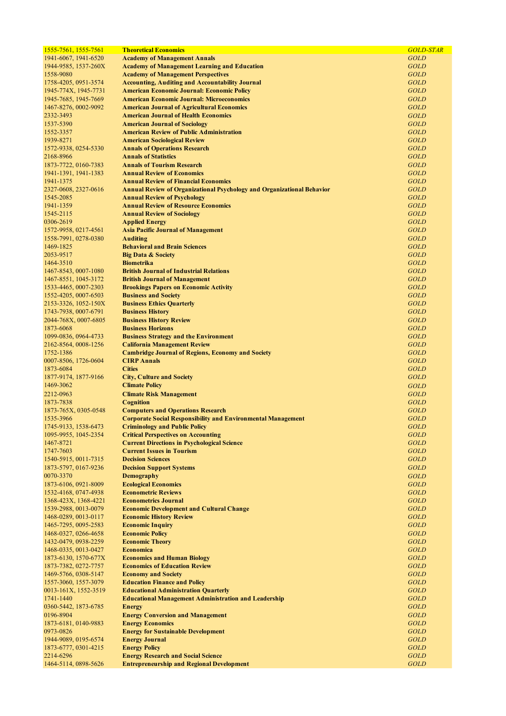| 1555-7561, 1555-7561 | <b>Theoretical Economics</b>                                                  | <b>GOLD-STAR</b> |
|----------------------|-------------------------------------------------------------------------------|------------------|
| 1941-6067, 1941-6520 | <b>Academy of Management Annals</b>                                           | <b>GOLD</b>      |
| 1944-9585, 1537-260X | <b>Academy of Management Learning and Education</b>                           | <b>GOLD</b>      |
|                      | <b>Academy of Management Perspectives</b>                                     | <b>GOLD</b>      |
| 1558-9080            |                                                                               |                  |
| 1758-4205, 0951-3574 | <b>Accounting, Auditing and Accountability Journal</b>                        | <b>GOLD</b>      |
| 1945-774X, 1945-7731 | <b>American Economic Journal: Economic Policy</b>                             | <b>GOLD</b>      |
| 1945-7685, 1945-7669 | <b>American Economic Journal: Microeconomics</b>                              | <b>GOLD</b>      |
| 1467-8276, 0002-9092 | <b>American Journal of Agricultural Economics</b>                             | <b>GOLD</b>      |
| 2332-3493            | <b>American Journal of Health Economics</b>                                   | <b>GOLD</b>      |
| 1537-5390            | <b>American Journal of Sociology</b>                                          | <b>GOLD</b>      |
| 1552-3357            | <b>American Review of Public Administration</b>                               | <b>GOLD</b>      |
| 1939-8271            |                                                                               | <b>GOLD</b>      |
|                      | <b>American Sociological Review</b>                                           |                  |
| 1572-9338, 0254-5330 | <b>Annals of Operations Research</b>                                          | <b>GOLD</b>      |
| 2168-8966            | <b>Annals of Statistics</b>                                                   | <b>GOLD</b>      |
| 1873-7722, 0160-7383 | <b>Annals of Tourism Research</b>                                             | <b>GOLD</b>      |
| 1941-1391, 1941-1383 | <b>Annual Review of Economics</b>                                             | <b>GOLD</b>      |
| 1941-1375            | <b>Annual Review of Financial Economics</b>                                   | <b>GOLD</b>      |
| 2327-0608, 2327-0616 | <b>Annual Review of Organizational Psychology and Organizational Behavior</b> | <b>GOLD</b>      |
| 1545-2085            | <b>Annual Review of Psychology</b>                                            | <b>GOLD</b>      |
|                      |                                                                               |                  |
| 1941-1359            | <b>Annual Review of Resource Economics</b>                                    | <b>GOLD</b>      |
| 1545-2115            | <b>Annual Review of Sociology</b>                                             | <b>GOLD</b>      |
| 0306-2619            | <b>Applied Energy</b>                                                         | <b>GOLD</b>      |
| 1572-9958, 0217-4561 | <b>Asia Pacific Journal of Management</b>                                     | <b>GOLD</b>      |
| 1558-7991, 0278-0380 | <b>Auditing</b>                                                               | <b>GOLD</b>      |
| 1469-1825            | <b>Behavioral and Brain Sciences</b>                                          | <b>GOLD</b>      |
| 2053-9517            | <b>Big Data &amp; Society</b>                                                 | <b>GOLD</b>      |
|                      |                                                                               |                  |
| 1464-3510            | <b>Biometrika</b>                                                             | <b>GOLD</b>      |
| 1467-8543, 0007-1080 | <b>British Journal of Industrial Relations</b>                                | <b>GOLD</b>      |
| 1467-8551, 1045-3172 | <b>British Journal of Management</b>                                          | <b>GOLD</b>      |
| 1533-4465, 0007-2303 | <b>Brookings Papers on Economic Activity</b>                                  | <b>GOLD</b>      |
| 1552-4205, 0007-6503 | <b>Business and Society</b>                                                   | <b>GOLD</b>      |
| 2153-3326, 1052-150X | <b>Business Ethics Quarterly</b>                                              | <b>GOLD</b>      |
| 1743-7938, 0007-6791 | <b>Business History</b>                                                       | <b>GOLD</b>      |
|                      |                                                                               |                  |
| 2044-768X, 0007-6805 | <b>Business History Review</b>                                                | <b>GOLD</b>      |
| 1873-6068            | <b>Business Horizons</b>                                                      | <b>GOLD</b>      |
| 1099-0836, 0964-4733 | <b>Business Strategy and the Environment</b>                                  | <b>GOLD</b>      |
| 2162-8564, 0008-1256 | <b>California Management Review</b>                                           | <b>GOLD</b>      |
| 1752-1386            | <b>Cambridge Journal of Regions, Economy and Society</b>                      | <b>GOLD</b>      |
| 0007-8506, 1726-0604 | <b>CIRP Annals</b>                                                            | <b>GOLD</b>      |
| 1873-6084            | <b>Cities</b>                                                                 | <b>GOLD</b>      |
| 1877-9174, 1877-9166 | <b>City, Culture and Society</b>                                              | <b>GOLD</b>      |
|                      |                                                                               |                  |
| 1469-3062            | <b>Climate Policy</b>                                                         | <b>GOLD</b>      |
| 2212-0963            | <b>Climate Risk Management</b>                                                | <b>GOLD</b>      |
| 1873-7838            | <b>Cognition</b>                                                              | <b>GOLD</b>      |
| 1873-765X, 0305-0548 | <b>Computers and Operations Research</b>                                      | <b>GOLD</b>      |
| 1535-3966            | <b>Corporate Social Responsibility and Environmental Management</b>           | <b>GOLD</b>      |
| 1745-9133, 1538-6473 | <b>Criminology and Public Policy</b>                                          | <b>GOLD</b>      |
| 1095-9955, 1045-2354 | <b>Critical Perspectives on Accounting</b>                                    | GOLD             |
| 1467-8721            | <b>Current Directions in Psychological Science</b>                            | <b>GOLD</b>      |
|                      |                                                                               |                  |
| 1747-7603            | <b>Current Issues in Tourism</b>                                              | <b>GOLD</b>      |
| 1540-5915, 0011-7315 | <b>Decision Sciences</b>                                                      | <b>GOLD</b>      |
| 1873-5797, 0167-9236 | <b>Decision Support Systems</b>                                               | <b>GOLD</b>      |
| 0070-3370            | <b>Demography</b>                                                             | <b>GOLD</b>      |
| 1873-6106, 0921-8009 | <b>Ecological Economics</b>                                                   | <b>GOLD</b>      |
| 1532-4168, 0747-4938 | <b>Econometric Reviews</b>                                                    | <b>GOLD</b>      |
| 1368-423X, 1368-4221 | <b>Econometrics Journal</b>                                                   | <b>GOLD</b>      |
| 1539-2988, 0013-0079 | <b>Economic Development and Cultural Change</b>                               | <b>GOLD</b>      |
|                      | <b>Economic History Review</b>                                                |                  |
| 1468-0289, 0013-0117 |                                                                               | <b>GOLD</b>      |
| 1465-7295, 0095-2583 | <b>Economic Inquiry</b>                                                       | <b>GOLD</b>      |
| 1468-0327, 0266-4658 | <b>Economic Policy</b>                                                        | <b>GOLD</b>      |
| 1432-0479, 0938-2259 | <b>Economic Theory</b>                                                        | <b>GOLD</b>      |
| 1468-0335, 0013-0427 | <b>Economica</b>                                                              | <b>GOLD</b>      |
| 1873-6130, 1570-677X | <b>Economics and Human Biology</b>                                            | <b>GOLD</b>      |
| 1873-7382, 0272-7757 | <b>Economics of Education Review</b>                                          | <b>GOLD</b>      |
| 1469-5766, 0308-5147 | <b>Economy and Society</b>                                                    | <b>GOLD</b>      |
|                      | <b>Education Finance and Policy</b>                                           | <b>GOLD</b>      |
| 1557-3060, 1557-3079 |                                                                               |                  |
| 0013-161X, 1552-3519 | <b>Educational Administration Quarterly</b>                                   | <b>GOLD</b>      |
| 1741-1440            | <b>Educational Management Administration and Leadership</b>                   | <b>GOLD</b>      |
| 0360-5442, 1873-6785 | <b>Energy</b>                                                                 | <b>GOLD</b>      |
| 0196-8904            | <b>Energy Conversion and Management</b>                                       | <b>GOLD</b>      |
| 1873-6181, 0140-9883 | <b>Energy Economics</b>                                                       | <b>GOLD</b>      |
| 0973-0826            | <b>Energy for Sustainable Development</b>                                     | <b>GOLD</b>      |
| 1944-9089, 0195-6574 | <b>Energy Journal</b>                                                         | <b>GOLD</b>      |
| 1873-6777, 0301-4215 | <b>Energy Policy</b>                                                          | <b>GOLD</b>      |
|                      |                                                                               |                  |
| 2214-6296            | <b>Energy Research and Social Science</b>                                     | <b>GOLD</b>      |
| 1464-5114, 0898-5626 | <b>Entrepreneurship and Regional Development</b>                              | <b>GOLD</b>      |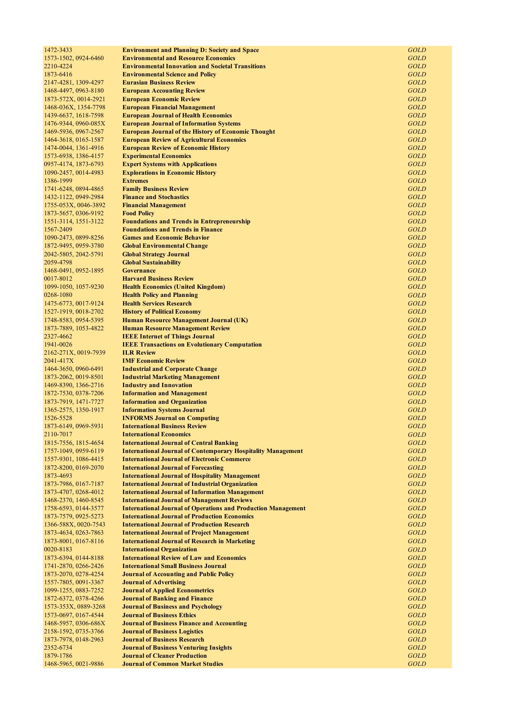| 1472-3433                                    | <b>Environment and Planning D: Society and Space</b>                                                              | <b>GOLD</b>                |
|----------------------------------------------|-------------------------------------------------------------------------------------------------------------------|----------------------------|
| 1573-1502, 0924-6460                         | <b>Environmental and Resource Economics</b>                                                                       | <b>GOLD</b>                |
| 2210-4224                                    | <b>Environmental Innovation and Societal Transitions</b>                                                          | <b>GOLD</b>                |
| 1873-6416                                    | <b>Environmental Science and Policy</b>                                                                           | <b>GOLD</b>                |
| 2147-4281, 1309-4297                         | <b>Eurasian Business Review</b>                                                                                   | <b>GOLD</b>                |
| 1468-4497, 0963-8180                         | <b>European Accounting Review</b>                                                                                 | <b>GOLD</b>                |
| 1873-572X, 0014-2921                         | <b>European Economic Review</b>                                                                                   | <b>GOLD</b>                |
| 1468-036X, 1354-7798                         | <b>European Financial Management</b>                                                                              | <b>GOLD</b>                |
| 1439-6637, 1618-7598                         | <b>European Journal of Health Economics</b>                                                                       | <b>GOLD</b>                |
| 1476-9344, 0960-085X                         | <b>European Journal of Information Systems</b>                                                                    | <b>GOLD</b>                |
| 1469-5936, 0967-2567<br>1464-3618, 0165-1587 | <b>European Journal of the History of Economic Thought</b><br><b>European Review of Agricultural Economics</b>    | <b>GOLD</b><br><b>GOLD</b> |
| 1474-0044, 1361-4916                         | <b>European Review of Economic History</b>                                                                        | <b>GOLD</b>                |
| 1573-6938, 1386-4157                         | <b>Experimental Economics</b>                                                                                     | <b>GOLD</b>                |
| 0957-4174, 1873-6793                         | <b>Expert Systems with Applications</b>                                                                           | <b>GOLD</b>                |
| 1090-2457, 0014-4983                         | <b>Explorations in Economic History</b>                                                                           | <b>GOLD</b>                |
| 1386-1999                                    | <b>Extremes</b>                                                                                                   | <b>GOLD</b>                |
| 1741-6248, 0894-4865                         | <b>Family Business Review</b>                                                                                     | <b>GOLD</b>                |
| 1432-1122, 0949-2984                         | <b>Finance and Stochastics</b>                                                                                    | <b>GOLD</b>                |
| 1755-053X, 0046-3892                         | <b>Financial Management</b>                                                                                       | <b>GOLD</b>                |
| 1873-5657, 0306-9192                         | <b>Food Policy</b>                                                                                                | <b>GOLD</b>                |
| 1551-3114, 1551-3122                         | <b>Foundations and Trends in Entrepreneurship</b>                                                                 | <b>GOLD</b>                |
| 1567-2409                                    | <b>Foundations and Trends in Finance</b>                                                                          | <b>GOLD</b>                |
| 1090-2473, 0899-8256                         | <b>Games and Economic Behavior</b>                                                                                | <b>GOLD</b>                |
| 1872-9495, 0959-3780                         | <b>Global Environmental Change</b>                                                                                | <b>GOLD</b>                |
| 2042-5805, 2042-5791                         | <b>Global Strategy Journal</b>                                                                                    | <b>GOLD</b>                |
| 2059-4798                                    | <b>Global Sustainability</b>                                                                                      | <b>GOLD</b>                |
| 1468-0491, 0952-1895                         | <b>Governance</b>                                                                                                 | <b>GOLD</b>                |
| 0017-8012                                    | <b>Harvard Business Review</b>                                                                                    | <b>GOLD</b>                |
| 1099-1050, 1057-9230                         | <b>Health Economics (United Kingdom)</b>                                                                          | <b>GOLD</b>                |
| 0268-1080                                    | <b>Health Policy and Planning</b>                                                                                 | <b>GOLD</b>                |
| 1475-6773, 0017-9124                         | <b>Health Services Research</b>                                                                                   | <b>GOLD</b>                |
| 1527-1919, 0018-2702                         | <b>History of Political Economy</b><br>Human Resource Management Journal (UK)                                     | <b>GOLD</b><br>GOLD        |
| 1748-8583, 0954-5395<br>1873-7889, 1053-4822 | <b>Human Resource Management Review</b>                                                                           | <b>GOLD</b>                |
| 2327-4662                                    | <b>IEEE Internet of Things Journal</b>                                                                            | <b>GOLD</b>                |
| 1941-0026                                    | <b>IEEE Transactions on Evolutionary Computation</b>                                                              | <b>GOLD</b>                |
| 2162-271X, 0019-7939                         | <b>ILR Review</b>                                                                                                 | <b>GOLD</b>                |
| 2041-417X                                    | <b>IMF Economic Review</b>                                                                                        | GOLD                       |
| 1464-3650, 0960-6491                         | <b>Industrial and Corporate Change</b>                                                                            | <b>GOLD</b>                |
| 1873-2062, 0019-8501                         | <b>Industrial Marketing Management</b>                                                                            | <b>GOLD</b>                |
| 1469-8390, 1366-2716                         | <b>Industry and Innovation</b>                                                                                    | <b>GOLD</b>                |
| 1872-7530, 0378-7206                         | <b>Information and Management</b>                                                                                 | <b>GOLD</b>                |
| 1873-7919, 1471-7727                         | <b>Information and Organization</b>                                                                               | GOLD                       |
| 1365-2575, 1350-1917                         | <b>Information Systems Journal</b>                                                                                | <b>GOLD</b>                |
| 1526-5528                                    | <b>INFORMS Journal on Computing</b>                                                                               | <b>GOLD</b>                |
| 1873-6149, 0969-5931                         | <b>International Business Review</b>                                                                              | GOLD                       |
| 2110-7017                                    | <b>International Economics</b>                                                                                    | GOLD                       |
| 1815-7556, 1815-4654                         | <b>International Journal of Central Banking</b>                                                                   | <b>GOLD</b>                |
| 1757-1049, 0959-6119                         | <b>International Journal of Contemporary Hospitality Management</b>                                               | <b>GOLD</b>                |
| 1557-9301, 1086-4415                         | <b>International Journal of Electronic Commerce</b>                                                               | <b>GOLD</b>                |
| 1872-8200, 0169-2070                         | <b>International Journal of Forecasting</b>                                                                       | <b>GOLD</b>                |
| 1873-4693                                    | <b>International Journal of Hospitality Management</b>                                                            | <b>GOLD</b>                |
| 1873-7986, 0167-7187<br>1873-4707, 0268-4012 | <b>International Journal of Industrial Organization</b><br><b>International Journal of Information Management</b> | <b>GOLD</b><br><b>GOLD</b> |
| 1468-2370, 1460-8545                         | <b>International Journal of Management Reviews</b>                                                                | <b>GOLD</b>                |
| 1758-6593, 0144-3577                         | <b>International Journal of Operations and Production Management</b>                                              | <b>GOLD</b>                |
| 1873-7579, 0925-5273                         | <b>International Journal of Production Economics</b>                                                              | <b>GOLD</b>                |
| 1366-588X, 0020-7543                         | <b>International Journal of Production Research</b>                                                               | <b>GOLD</b>                |
| 1873-4634, 0263-7863                         | <b>International Journal of Project Management</b>                                                                | <b>GOLD</b>                |
| 1873-8001, 0167-8116                         | <b>International Journal of Research in Marketing</b>                                                             | GOLD                       |
| 0020-8183                                    | <b>International Organization</b>                                                                                 | <b>GOLD</b>                |
| 1873-6394, 0144-8188                         | <b>International Review of Law and Economics</b>                                                                  | <b>GOLD</b>                |
| 1741-2870, 0266-2426                         | <b>International Small Business Journal</b>                                                                       | <b>GOLD</b>                |
| 1873-2070, 0278-4254                         | <b>Journal of Accounting and Public Policy</b>                                                                    | <b>GOLD</b>                |
| 1557-7805, 0091-3367                         | <b>Journal of Advertising</b>                                                                                     | <b>GOLD</b>                |
| 1099-1255, 0883-7252                         | <b>Journal of Applied Econometrics</b>                                                                            | <b>GOLD</b>                |
| 1872-6372, 0378-4266                         | <b>Journal of Banking and Finance</b>                                                                             | <b>GOLD</b>                |
| 1573-353X, 0889-3268                         | <b>Journal of Business and Psychology</b>                                                                         | <b>GOLD</b>                |
| 1573-0697, 0167-4544                         | <b>Journal of Business Ethics</b>                                                                                 | <b>GOLD</b>                |
| 1468-5957, 0306-686X                         | <b>Journal of Business Finance and Accounting</b>                                                                 | <b>GOLD</b>                |
| 2158-1592, 0735-3766                         | <b>Journal of Business Logistics</b>                                                                              | <b>GOLD</b>                |
| 1873-7978, 0148-2963                         | <b>Journal of Business Research</b>                                                                               | <b>GOLD</b>                |
| 2352-6734                                    | <b>Journal of Business Venturing Insights</b>                                                                     | <b>GOLD</b>                |
| 1879-1786                                    | <b>Journal of Cleaner Production</b>                                                                              | <b>GOLD</b>                |
| 1468-5965, 0021-9886                         | <b>Journal of Common Market Studies</b>                                                                           | <b>GOLD</b>                |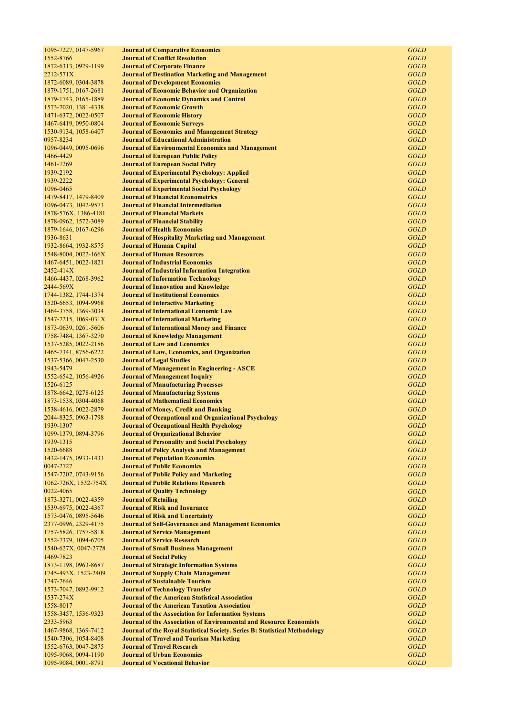| 1095-7227, 0147-5967              | <b>Journal of Comparative Economics</b>                                                                  | <b>GOLD</b>                |
|-----------------------------------|----------------------------------------------------------------------------------------------------------|----------------------------|
| 1552-8766                         | <b>Journal of Conflict Resolution</b>                                                                    | <b>GOLD</b>                |
| 1872-6313, 0929-1199              | <b>Journal of Corporate Finance</b>                                                                      | <b>GOLD</b>                |
| 2212-571X                         | <b>Journal of Destination Marketing and Management</b>                                                   | <b>GOLD</b>                |
| 1872-6089, 0304-3878              | <b>Journal of Development Economics</b>                                                                  | <b>GOLD</b>                |
| 1879-1751, 0167-2681              | <b>Journal of Economic Behavior and Organization</b>                                                     | <b>GOLD</b>                |
| 1879-1743, 0165-1889              | <b>Journal of Economic Dynamics and Control</b>                                                          | <b>GOLD</b>                |
| 1573-7020, 1381-4338              | <b>Journal of Economic Growth</b>                                                                        | <b>GOLD</b>                |
| 1471-6372, 0022-0507              | <b>Journal of Economic History</b>                                                                       | <b>GOLD</b>                |
| 1467-6419, 0950-0804              | <b>Journal of Economic Surveys</b>                                                                       | <b>GOLD</b>                |
| 1530-9134, 1058-6407              | <b>Journal of Economics and Management Strategy</b>                                                      | <b>GOLD</b>                |
| 0957-8234                         | <b>Journal of Educational Administration</b><br><b>Journal of Environmental Economics and Management</b> | <b>GOLD</b><br><b>GOLD</b> |
| 1096-0449, 0095-0696<br>1466-4429 | <b>Journal of European Public Policy</b>                                                                 | <b>GOLD</b>                |
| 1461-7269                         | <b>Journal of European Social Policy</b>                                                                 | <b>GOLD</b>                |
| 1939-2192                         | <b>Journal of Experimental Psychology: Applied</b>                                                       | <b>GOLD</b>                |
| 1939-2222                         | <b>Journal of Experimental Psychology: General</b>                                                       | <b>GOLD</b>                |
| 1096-0465                         | <b>Journal of Experimental Social Psychology</b>                                                         | <b>GOLD</b>                |
| 1479-8417, 1479-8409              | <b>Journal of Financial Econometrics</b>                                                                 | <b>GOLD</b>                |
| 1096-0473, 1042-9573              | <b>Journal of Financial Intermediation</b>                                                               | <b>GOLD</b>                |
| 1878-576X, 1386-4181              | <b>Journal of Financial Markets</b>                                                                      | <b>GOLD</b>                |
| 1878-0962, 1572-3089              | <b>Journal of Financial Stability</b>                                                                    | <b>GOLD</b>                |
| 1879-1646, 0167-6296              | <b>Journal of Health Economics</b>                                                                       | <b>GOLD</b>                |
| 1936-8631                         | <b>Journal of Hospitality Marketing and Management</b>                                                   | <b>GOLD</b>                |
| 1932-8664, 1932-8575              | <b>Journal of Human Capital</b>                                                                          | <b>GOLD</b>                |
| 1548-8004, 0022-166X              | <b>Journal of Human Resources</b>                                                                        | <b>GOLD</b>                |
| 1467-6451, 0022-1821              | <b>Journal of Industrial Economics</b>                                                                   | <b>GOLD</b>                |
| 2452-414X                         | <b>Journal of Industrial Information Integration</b>                                                     | <b>GOLD</b>                |
| 1466-4437, 0268-3962              | <b>Journal of Information Technology</b>                                                                 | <b>GOLD</b>                |
| 2444-569X                         | <b>Journal of Innovation and Knowledge</b>                                                               | <b>GOLD</b>                |
| 1744-1382, 1744-1374              | <b>Journal of Institutional Economics</b>                                                                | <b>GOLD</b>                |
| 1520-6653, 1094-9968              | <b>Journal of Interactive Marketing</b>                                                                  | <b>GOLD</b>                |
| 1464-3758, 1369-3034              | <b>Journal of International Economic Law</b>                                                             | <b>GOLD</b>                |
| 1547-7215, 1069-031X              | <b>Journal of International Marketing</b>                                                                | <b>GOLD</b>                |
| 1873-0639, 0261-5606              | <b>Journal of International Money and Finance</b>                                                        | <b>GOLD</b>                |
| 1758-7484, 1367-3270              | <b>Journal of Knowledge Management</b>                                                                   | <b>GOLD</b>                |
| 1537-5285, 0022-2186              | <b>Journal of Law and Economics</b>                                                                      | <b>GOLD</b>                |
| 1465-7341, 8756-6222              | <b>Journal of Law, Economics, and Organization</b><br><b>Journal of Legal Studies</b>                    | <b>GOLD</b><br><b>GOLD</b> |
| 1537-5366, 0047-2530<br>1943-5479 | <b>Journal of Management in Engineering - ASCE</b>                                                       | <b>GOLD</b>                |
| 1552-6542, 1056-4926              | <b>Journal of Management Inquiry</b>                                                                     | <b>GOLD</b>                |
| 1526-6125                         | <b>Journal of Manufacturing Processes</b>                                                                | <b>GOLD</b>                |
| 1878-6642, 0278-6125              | <b>Journal of Manufacturing Systems</b>                                                                  | <b>GOLD</b>                |
| 1873-1538, 0304-4068              | <b>Journal of Mathematical Economics</b>                                                                 | <b>GOLD</b>                |
| 1538-4616, 0022-2879              | <b>Journal of Money, Credit and Banking</b>                                                              | <b>GOLD</b>                |
| 2044-8325, 0963-1798              | <b>Journal of Occupational and Organizational Psychology</b>                                             | <b>GOLD</b>                |
| 1939-1307                         | <b>Journal of Occupational Health Psychology</b>                                                         | <b>GOLD</b>                |
| 1099-1379, 0894-3796              | <b>Journal of Organizational Behavior</b>                                                                | <b>GOLD</b>                |
| 1939-1315                         | <b>Journal of Personality and Social Psychology</b>                                                      | <b>GOLD</b>                |
| 1520-6688                         | <b>Journal of Policy Analysis and Management</b>                                                         | <b>GOLD</b>                |
| 1432-1475, 0933-1433              | <b>Journal of Population Economics</b>                                                                   | <b>GOLD</b>                |
| 0047-2727                         | <b>Journal of Public Economics</b>                                                                       | <b>GOLD</b>                |
| 1547-7207, 0743-9156              | <b>Journal of Public Policy and Marketing</b>                                                            | <b>GOLD</b>                |
| 1062-726X, 1532-754X              | <b>Journal of Public Relations Research</b>                                                              | <b>GOLD</b>                |
| 0022-4065                         | <b>Journal of Quality Technology</b>                                                                     | <b>GOLD</b>                |
| 1873-3271, 0022-4359              | <b>Journal of Retailing</b>                                                                              | <b>GOLD</b>                |
| 1539-6975, 0022-4367              | <b>Journal of Risk and Insurance</b>                                                                     | <b>GOLD</b>                |
| 1573-0476, 0895-5646              | <b>Journal of Risk and Uncertainty</b>                                                                   | <b>GOLD</b>                |
| 2377-0996, 2329-4175              | <b>Journal of Self-Governance and Management Economics</b>                                               | <b>GOLD</b>                |
| 1757-5826, 1757-5818              | <b>Journal of Service Management</b>                                                                     | <b>GOLD</b>                |
| 1552-7379, 1094-6705              | <b>Journal of Service Research</b>                                                                       | <b>GOLD</b>                |
| 1540-627X, 0047-2778              | <b>Journal of Small Business Management</b>                                                              | <b>GOLD</b>                |
| 1469-7823                         | <b>Journal of Social Policy</b>                                                                          | <b>GOLD</b>                |
| 1873-1198, 0963-8687              | <b>Journal of Strategic Information Systems</b>                                                          | <b>GOLD</b>                |
| 1745-493X, 1523-2409              | <b>Journal of Supply Chain Management</b><br><b>Journal of Sustainable Tourism</b>                       | <b>GOLD</b><br><b>GOLD</b> |
| 1747-7646<br>1573-7047, 0892-9912 |                                                                                                          | <b>GOLD</b>                |
| 1537-274X                         | <b>Journal of Technology Transfer</b><br><b>Journal of the American Statistical Association</b>          | <b>GOLD</b>                |
| 1558-8017                         | <b>Journal of the American Taxation Association</b>                                                      | <b>GOLD</b>                |
| 1558-3457, 1536-9323              | <b>Journal of the Association for Information Systems</b>                                                | <b>GOLD</b>                |
| 2333-5963                         | <b>Journal of the Association of Environmental and Resource Economists</b>                               | <b>GOLD</b>                |
| 1467-9868, 1369-7412              | Journal of the Royal Statistical Society. Series B: Statistical Methodology                              | <b>GOLD</b>                |
| 1540-7306, 1054-8408              | <b>Journal of Travel and Tourism Marketing</b>                                                           | <b>GOLD</b>                |
| 1552-6763, 0047-2875              | <b>Journal of Travel Research</b>                                                                        | <b>GOLD</b>                |
| 1095-9068, 0094-1190              | <b>Journal of Urban Economics</b>                                                                        | <b>GOLD</b>                |
| 1095-9084, 0001-8791              | <b>Journal of Vocational Behavior</b>                                                                    | <b>GOLD</b>                |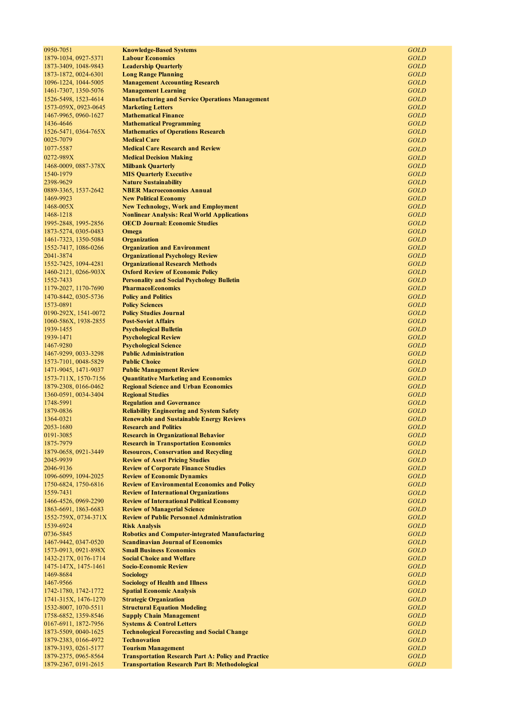| 0950-7051                                    | <b>Knowledge-Based Systems</b>                                                 | GOLD                |
|----------------------------------------------|--------------------------------------------------------------------------------|---------------------|
| 1879-1034, 0927-5371                         | <b>Labour Economics</b>                                                        | <b>GOLD</b>         |
| 1873-3409, 1048-9843                         | <b>Leadership Quarterly</b>                                                    | <b>GOLD</b>         |
| 1873-1872, 0024-6301                         | <b>Long Range Planning</b>                                                     | GOLD                |
| 1096-1224, 1044-5005                         | <b>Management Accounting Research</b>                                          | GOLD                |
| 1461-7307, 1350-5076                         | <b>Management Learning</b>                                                     | <b>GOLD</b>         |
| 1526-5498, 1523-4614                         | <b>Manufacturing and Service Operations Management</b>                         | GOLD                |
| 1573-059X, 0923-0645                         | <b>Marketing Letters</b>                                                       | GOLD                |
| 1467-9965, 0960-1627                         | <b>Mathematical Finance</b>                                                    | GOLD                |
| 1436-4646                                    | <b>Mathematical Programming</b>                                                | GOLD                |
| 1526-5471, 0364-765X                         | <b>Mathematics of Operations Research</b>                                      | GOLD                |
| 0025-7079                                    | <b>Medical Care</b>                                                            | GOLD                |
| 1077-5587                                    | <b>Medical Care Research and Review</b>                                        | <b>GOLD</b>         |
| 0272-989X                                    | <b>Medical Decision Making</b>                                                 | <b>GOLD</b>         |
| 1468-0009, 0887-378X                         | <b>Milbank Quarterly</b>                                                       | <b>GOLD</b>         |
| 1540-1979                                    | <b>MIS Quarterly Executive</b>                                                 | GOLD                |
| 2398-9629                                    | <b>Nature Sustainability</b>                                                   | <b>GOLD</b>         |
| 0889-3365, 1537-2642                         | <b>NBER Macroeconomics Annual</b>                                              | GOLD                |
| 1469-9923                                    | <b>New Political Economy</b>                                                   | GOLD                |
| 1468-005X                                    | <b>New Technology, Work and Employment</b>                                     | <b>GOLD</b>         |
| 1468-1218                                    | <b>Nonlinear Analysis: Real World Applications</b>                             | GOLD                |
| 1995-2848, 1995-2856                         | <b>OECD Journal: Economic Studies</b>                                          | <b>GOLD</b>         |
| 1873-5274, 0305-0483                         | Omega<br><b>Organization</b>                                                   | GOLD                |
| 1461-7323, 1350-5084                         |                                                                                | GOLD                |
| 1552-7417, 1086-0266<br>2041-3874            | <b>Organization and Environment</b><br><b>Organizational Psychology Review</b> | <b>GOLD</b><br>GOLD |
|                                              | <b>Organizational Research Methods</b>                                         | <b>GOLD</b>         |
| 1552-7425, 1094-4281<br>1460-2121, 0266-903X | <b>Oxford Review of Economic Policy</b>                                        | GOLD                |
| 1552-7433                                    | <b>Personality and Social Psychology Bulletin</b>                              | GOLD                |
| 1179-2027, 1170-7690                         | <b>PharmacoEconomics</b>                                                       | <b>GOLD</b>         |
| 1470-8442, 0305-5736                         | <b>Policy and Politics</b>                                                     | GOLD                |
| 1573-0891                                    | <b>Policy Sciences</b>                                                         | <b>GOLD</b>         |
| 0190-292X, 1541-0072                         | <b>Policy Studies Journal</b>                                                  | GOLD                |
| 1060-586X, 1938-2855                         | <b>Post-Soviet Affairs</b>                                                     | GOLD                |
| 1939-1455                                    | <b>Psychological Bulletin</b>                                                  | <b>GOLD</b>         |
| 1939-1471                                    | <b>Psychological Review</b>                                                    | GOLD                |
| 1467-9280                                    | <b>Psychological Science</b>                                                   | <b>GOLD</b>         |
| 1467-9299, 0033-3298                         | <b>Public Administration</b>                                                   | GOLD                |
| 1573-7101, 0048-5829                         | <b>Public Choice</b>                                                           | GOLD                |
| 1471-9045, 1471-9037                         | <b>Public Management Review</b>                                                | <b>GOLD</b>         |
| 1573-711X, 1570-7156                         | <b>Quantitative Marketing and Economics</b>                                    | GOLD                |
| 1879-2308, 0166-0462                         | <b>Regional Science and Urban Economics</b>                                    | <b>GOLD</b>         |
| 1360-0591, 0034-3404                         | <b>Regional Studies</b>                                                        | GOLD                |
| 1748-5991                                    | <b>Regulation and Governance</b>                                               | GOLD                |
| 1879-0836                                    | <b>Reliability Engineering and System Safety</b>                               | <b>GOLD</b>         |
| 1364-0321                                    | <b>Renewable and Sustainable Energy Reviews</b>                                | <b>GOLD</b>         |
| 2053-1680                                    | <b>Research and Politics</b>                                                   | <b>GOLD</b>         |
| 0191-3085                                    | <b>Research in Organizational Behavior</b>                                     | GOLD                |
| 1875-7979                                    | <b>Research in Transportation Economics</b>                                    | GOLD                |
| 1879-0658, 0921-3449                         | <b>Resources, Conservation and Recycling</b>                                   | <b>GOLD</b>         |
| 2045-9939                                    | <b>Review of Asset Pricing Studies</b>                                         | GOLD                |
| 2046-9136                                    | <b>Review of Corporate Finance Studies</b>                                     | GOLD                |
| 1096-6099, 1094-2025                         | <b>Review of Economic Dynamics</b>                                             | GOLD                |
| 1750-6824, 1750-6816                         | <b>Review of Environmental Economics and Policy</b>                            | GOLD                |
| 1559-7431                                    | <b>Review of International Organizations</b>                                   | <b>GOLD</b>         |
| 1466-4526, 0969-2290                         | <b>Review of International Political Economy</b>                               | GOLD                |
| 1863-6691, 1863-6683                         | <b>Review of Managerial Science</b>                                            | GOLD                |
| 1552-759X, 0734-371X                         | <b>Review of Public Personnel Administration</b>                               | GOLD                |
| 1539-6924                                    | <b>Risk Analysis</b>                                                           | <b>GOLD</b>         |
| 0736-5845                                    | <b>Robotics and Computer-integrated Manufacturing</b>                          | <b>GOLD</b>         |
| 1467-9442, 0347-0520                         | <b>Scandinavian Journal of Economics</b>                                       | GOLD                |
| 1573-0913, 0921-898X                         | <b>Small Business Economics</b>                                                | GOLD                |
| 1432-217X, 0176-1714                         | <b>Social Choice and Welfare</b>                                               | GOLD                |
| 1475-147X, 1475-1461                         | <b>Socio-Economic Review</b>                                                   | <b>GOLD</b>         |
| 1469-8684                                    | <b>Sociology</b>                                                               | <b>GOLD</b>         |
| 1467-9566<br>1742-1780, 1742-1772            | <b>Sociology of Health and Illness</b><br><b>Spatial Economic Analysis</b>     | GOLD<br>GOLD        |
| 1741-315X, 1476-1270                         | <b>Strategic Organization</b>                                                  | GOLD                |
| 1532-8007, 1070-5511                         | <b>Structural Equation Modeling</b>                                            | GOLD                |
| 1758-6852, 1359-8546                         | <b>Supply Chain Management</b>                                                 | <b>GOLD</b>         |
| 0167-6911, 1872-7956                         | <b>Systems &amp; Control Letters</b>                                           | GOLD                |
| 1873-5509, 0040-1625                         | <b>Technological Forecasting and Social Change</b>                             | GOLD                |
| 1879-2383, 0166-4972                         | <b>Technovation</b>                                                            | GOLD                |
| 1879-3193, 0261-5177                         | <b>Tourism Management</b>                                                      | <b>GOLD</b>         |
| 1879-2375, 0965-8564                         | <b>Transportation Research Part A: Policy and Practice</b>                     | <b>GOLD</b>         |
| 1879-2367, 0191-2615                         | <b>Transportation Research Part B: Methodological</b>                          | GOLD                |
|                                              |                                                                                |                     |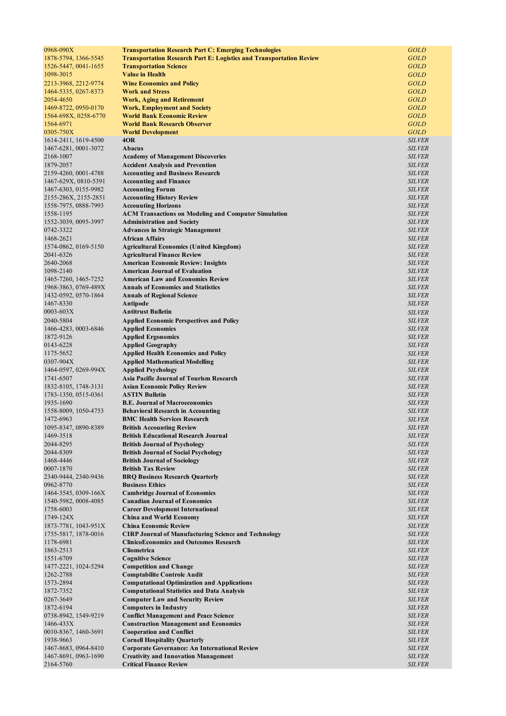| 0968-090X                         | <b>Transportation Research Part C: Emerging Technologies</b>               | <b>GOLD</b>   |
|-----------------------------------|----------------------------------------------------------------------------|---------------|
| 1878-5794, 1366-5545              | <b>Transportation Research Part E: Logistics and Transportation Review</b> | <b>GOLD</b>   |
| 1526-5447, 0041-1655              | <b>Transportation Science</b>                                              | <b>GOLD</b>   |
| 1098-3015                         | <b>Value in Health</b>                                                     | <b>GOLD</b>   |
| 2213-3968, 2212-9774              | <b>Wine Economics and Policy</b>                                           | <b>GOLD</b>   |
|                                   |                                                                            |               |
| 1464-5335, 0267-8373              | <b>Work and Stress</b>                                                     | <b>GOLD</b>   |
| 2054-4650                         | <b>Work, Aging and Retirement</b>                                          | <b>GOLD</b>   |
| 1469-8722, 0950-0170              | <b>Work, Employment and Society</b>                                        | <b>GOLD</b>   |
| 1564-698X, 0258-6770              | <b>World Bank Economic Review</b>                                          | <b>GOLD</b>   |
| 1564-6971                         | <b>World Bank Research Observer</b>                                        | <b>GOLD</b>   |
| 0305-750X                         | <b>World Development</b>                                                   | <b>GOLD</b>   |
| 1614-2411, 1619-4500              | 4OR                                                                        | <b>SILVER</b> |
| 1467-6281, 0001-3072              | Abacus                                                                     | <b>SILVER</b> |
| 2168-1007                         | <b>Academy of Management Discoveries</b>                                   | <b>SILVER</b> |
| 1879-2057                         | <b>Accident Analysis and Prevention</b>                                    | <b>SILVER</b> |
| 2159-4260, 0001-4788              | <b>Accounting and Business Research</b>                                    | <b>SILVER</b> |
| 1467-629X, 0810-5391              | <b>Accounting and Finance</b>                                              | <b>SILVER</b> |
| 1467-6303, 0155-9982              | <b>Accounting Forum</b>                                                    | <b>SILVER</b> |
| 2155-286X, 2155-2851              | <b>Accounting History Review</b>                                           | <b>SILVER</b> |
| 1558-7975, 0888-7993              | <b>Accounting Horizons</b>                                                 | <b>SILVER</b> |
| 1558-1195                         | <b>ACM Transactions on Modeling and Computer Simulation</b>                | <b>SILVER</b> |
| 1552-3039, 0095-3997              | <b>Administration and Society</b>                                          | <b>SILVER</b> |
| 0742-3322                         | <b>Advances in Strategic Management</b>                                    | <b>SILVER</b> |
| 1468-2621                         | <b>African Affairs</b>                                                     | <b>SILVER</b> |
|                                   |                                                                            | <b>SILVER</b> |
| 1574-0862, 0169-5150<br>2041-6326 | <b>Agricultural Economics (United Kingdom)</b>                             |               |
|                                   | <b>Agricultural Finance Review</b>                                         | <b>SILVER</b> |
| 2640-2068                         | <b>American Economic Review: Insights</b>                                  | <b>SILVER</b> |
| 1098-2140                         | <b>American Journal of Evaluation</b>                                      | <b>SILVER</b> |
| 1465-7260, 1465-7252              | <b>American Law and Economics Review</b>                                   | <b>SILVER</b> |
| 1968-3863, 0769-489X              | <b>Annals of Economics and Statistics</b>                                  | <b>SILVER</b> |
| 1432-0592, 0570-1864              | <b>Annals of Regional Science</b>                                          | <b>SILVER</b> |
| 1467-8330                         | Antipode                                                                   | <b>SILVER</b> |
| 0003-603X                         | <b>Antitrust Bulletin</b>                                                  | <b>SILVER</b> |
| 2040-5804                         | <b>Applied Economic Perspectives and Policy</b>                            | <b>SILVER</b> |
| 1466-4283, 0003-6846              | <b>Applied Economics</b>                                                   | <b>SILVER</b> |
| 1872-9126                         | <b>Applied Ergonomics</b>                                                  | <b>SILVER</b> |
| 0143-6228                         | <b>Applied Geography</b>                                                   | <b>SILVER</b> |
| 1175-5652                         | <b>Applied Health Economics and Policy</b>                                 | <b>SILVER</b> |
| 0307-904X                         | <b>Applied Mathematical Modelling</b>                                      | <b>SILVER</b> |
| 1464-0597, 0269-994X              | <b>Applied Psychology</b>                                                  | <b>SILVER</b> |
| 1741-6507                         | Asia Pacific Journal of Tourism Research                                   | <b>SILVER</b> |
| 1832-8105, 1748-3131              | <b>Asian Economic Policy Review</b>                                        | <b>SILVER</b> |
| 1783-1350, 0515-0361              | <b>ASTIN Bulletin</b>                                                      | <b>SILVER</b> |
| 1935-1690                         | <b>B.E. Journal of Macroeconomics</b>                                      | <b>SILVER</b> |
| 1558-8009, 1050-4753              | <b>Behavioral Research in Accounting</b>                                   | <b>SILVER</b> |
| 1472-6963                         | <b>BMC Health Services Research</b>                                        | <b>SILVER</b> |
| 1095-8347, 0890-8389              | <b>British Accounting Review</b>                                           | <b>SILVER</b> |
| 1469-3518                         | <b>British Educational Research Journal</b>                                |               |
|                                   |                                                                            | <i>SILVER</i> |
| 2044-8295                         | <b>British Journal of Psychology</b>                                       | <b>SILVER</b> |
| 2044-8309                         | <b>British Journal of Social Psychology</b>                                | <b>SILVER</b> |
| 1468-4446                         | <b>British Journal of Sociology</b>                                        | <b>SILVER</b> |
| 0007-1870                         | <b>British Tax Review</b>                                                  | <b>SILVER</b> |
| 2340-9444, 2340-9436              | <b>BRQ Business Research Quarterly</b>                                     | <b>SILVER</b> |
| 0962-8770                         | <b>Business Ethics</b>                                                     | <b>SILVER</b> |
| 1464-3545, 0309-166X              | <b>Cambridge Journal of Economics</b>                                      | <b>SILVER</b> |
| 1540-5982, 0008-4085              | <b>Canadian Journal of Economics</b>                                       | <b>SILVER</b> |
| 1758-6003                         | <b>Career Development International</b>                                    | <i>SILVER</i> |
| 1749-124X                         | <b>China and World Economy</b>                                             | <i>SILVER</i> |
| 1873-7781, 1043-951X              | <b>China Economic Review</b>                                               | <b>SILVER</b> |
| 1755-5817, 1878-0016              | <b>CIRP Journal of Manufacturing Science and Technology</b>                | <b>SILVER</b> |
| 1178-6981                         | <b>ClinicoEconomics and Outcomes Research</b>                              | <b>SILVER</b> |
| 1863-2513                         | <b>Cliometrica</b>                                                         | <i>SILVER</i> |
| 1551-6709                         | <b>Cognitive Science</b>                                                   | <i>SILVER</i> |
| 1477-2221, 1024-5294              | <b>Competition and Change</b>                                              | <b>SILVER</b> |
| 1262-2788                         | <b>Comptabilite Controle Audit</b>                                         | <b>SILVER</b> |
| 1573-2894                         | <b>Computational Optimization and Applications</b>                         | <i>SILVER</i> |
| 1872-7352                         | <b>Computational Statistics and Data Analysis</b>                          | <i>SILVER</i> |
| 0267-3649                         | <b>Computer Law and Security Review</b>                                    | <i>SILVER</i> |
| 1872-6194                         | <b>Computers in Industry</b>                                               | <i>SILVER</i> |
| 0738-8942, 1549-9219              | <b>Conflict Management and Peace Science</b>                               | <b>SILVER</b> |
| 1466-433X                         | <b>Construction Management and Economics</b>                               | <i>SILVER</i> |
| 0010-8367, 1460-3691              | <b>Cooperation and Conflict</b>                                            | <i>SILVER</i> |
| 1938-9663                         | <b>Cornell Hospitality Quarterly</b>                                       | <i>SILVER</i> |
| 1467-8683, 0964-8410              | <b>Corporate Governance: An International Review</b>                       | <i>SILVER</i> |
| 1467-8691, 0963-1690              | <b>Creativity and Innovation Management</b>                                | <b>SILVER</b> |
| 2164-5760                         | <b>Critical Finance Review</b>                                             | <b>SILVER</b> |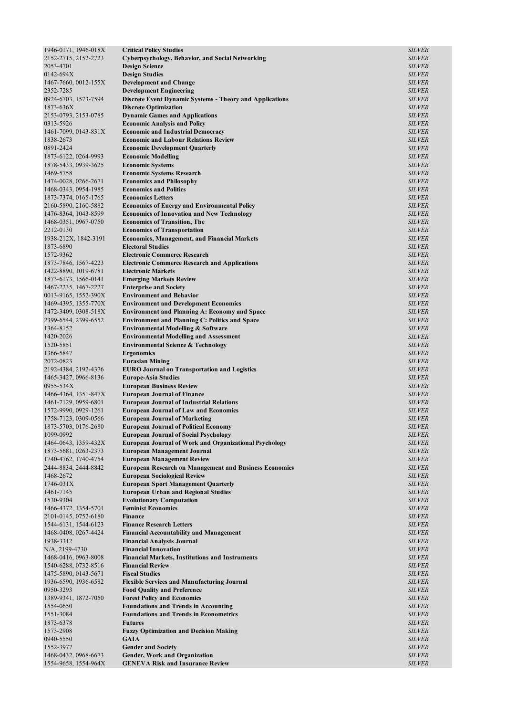| 1946-0171, 1946-018X | <b>Critical Policy Studies</b>                                  | <b>SILVER</b> |
|----------------------|-----------------------------------------------------------------|---------------|
| 2152-2715, 2152-2723 | Cyberpsychology, Behavior, and Social Networking                | <b>SILVER</b> |
| 2053-4701            | <b>Design Science</b>                                           | <b>SILVER</b> |
| 0142-694X            | <b>Design Studies</b>                                           | <b>SILVER</b> |
| 1467-7660, 0012-155X | <b>Development and Change</b>                                   | <b>SILVER</b> |
| 2352-7285            | <b>Development Engineering</b>                                  | <i>SILVER</i> |
| 0924-6703, 1573-7594 | <b>Discrete Event Dynamic Systems - Theory and Applications</b> | <b>SILVER</b> |
| 1873-636X            | <b>Discrete Optimization</b>                                    | <i>SILVER</i> |
| 2153-0793, 2153-0785 | <b>Dynamic Games and Applications</b>                           | <b>SILVER</b> |
| 0313-5926            | <b>Economic Analysis and Policy</b>                             | <i>SILVER</i> |
| 1461-7099, 0143-831X | <b>Economic and Industrial Democracy</b>                        | <i>SILVER</i> |
| 1838-2673            | <b>Economic and Labour Relations Review</b>                     | <b>SILVER</b> |
| 0891-2424            | <b>Economic Development Quarterly</b>                           | <b>SILVER</b> |
| 1873-6122, 0264-9993 | <b>Economic Modelling</b>                                       | <b>SILVER</b> |
| 1878-5433, 0939-3625 | <b>Economic Systems</b>                                         | <i>SILVER</i> |
| 1469-5758            | <b>Economic Systems Research</b>                                | <b>SILVER</b> |
| 1474-0028, 0266-2671 | <b>Economics and Philosophy</b>                                 | <b>SILVER</b> |
| 1468-0343, 0954-1985 | <b>Economics and Politics</b>                                   | <i>SILVER</i> |
| 1873-7374, 0165-1765 | <b>Economics Letters</b>                                        | <b>SILVER</b> |
| 2160-5890, 2160-5882 | <b>Economics of Energy and Environmental Policy</b>             | <i>SILVER</i> |
| 1476-8364, 1043-8599 | <b>Economics of Innovation and New Technology</b>               | <b>SILVER</b> |
|                      | <b>Economics of Transition, The</b>                             | <b>SILVER</b> |
| 1468-0351, 0967-0750 |                                                                 |               |
| 2212-0130            | <b>Economics of Transportation</b>                              | <b>SILVER</b> |
| 1938-212X, 1842-3191 | <b>Economics, Management, and Financial Markets</b>             | <b>SILVER</b> |
| 1873-6890            | <b>Electoral Studies</b>                                        | <i>SILVER</i> |
| 1572-9362            | <b>Electronic Commerce Research</b>                             | <b>SILVER</b> |
| 1873-7846, 1567-4223 | <b>Electronic Commerce Research and Applications</b>            | <b>SILVER</b> |
| 1422-8890, 1019-6781 | <b>Electronic Markets</b>                                       | <i>SILVER</i> |
| 1873-6173, 1566-0141 | <b>Emerging Markets Review</b>                                  | <b>SILVER</b> |
| 1467-2235, 1467-2227 | <b>Enterprise and Society</b>                                   | <i>SILVER</i> |
| 0013-9165, 1552-390X | <b>Environment and Behavior</b>                                 | <b>SILVER</b> |
| 1469-4395, 1355-770X | <b>Environment and Development Economics</b>                    | <b>SILVER</b> |
| 1472-3409, 0308-518X | <b>Environment and Planning A: Economy and Space</b>            | <i>SILVER</i> |
| 2399-6544, 2399-6552 | <b>Environment and Planning C: Politics and Space</b>           | <b>SILVER</b> |
| 1364-8152            | <b>Environmental Modelling &amp; Software</b>                   | <i>SILVER</i> |
| 1420-2026            | <b>Environmental Modelling and Assessment</b>                   | <b>SILVER</b> |
| 1520-5851            | <b>Environmental Science &amp; Technology</b>                   | <b>SILVER</b> |
| 1366-5847            | <b>Ergonomics</b>                                               | <i>SILVER</i> |
| 2072-0823            | <b>Eurasian Mining</b>                                          | <i>SILVER</i> |
| 2192-4384, 2192-4376 | <b>EURO Journal on Transportation and Logistics</b>             | <b>SILVER</b> |
| 1465-3427, 0966-8136 | <b>Europe-Asia Studies</b>                                      | <b>SILVER</b> |
| 0955-534X            | <b>European Business Review</b>                                 | <b>SILVER</b> |
| 1466-4364, 1351-847X | <b>European Journal of Finance</b>                              | <b>SILVER</b> |
| 1461-7129, 0959-6801 | <b>European Journal of Industrial Relations</b>                 | <i>SILVER</i> |
| 1572-9990, 0929-1261 | <b>European Journal of Law and Economics</b>                    | <b>SILVER</b> |
| 1758-7123, 0309-0566 | <b>European Journal of Marketing</b>                            | <b>SILVER</b> |
| 1873-5703, 0176-2680 | <b>European Journal of Political Economy</b>                    | <i>SILVER</i> |
| 1099-0992            | <b>European Journal of Social Psychology</b>                    | <i>SILVER</i> |
| 1464-0643, 1359-432X | European Journal of Work and Organizational Psychology          | <i>SILVER</i> |
| 1873-5681, 0263-2373 | <b>European Management Journal</b>                              | <b>SILVER</b> |
| 1740-4762, 1740-4754 | <b>European Management Review</b>                               | <b>SILVER</b> |
|                      |                                                                 | <b>SILVER</b> |
| 2444-8834, 2444-8842 | <b>European Research on Management and Business Economics</b>   |               |
| 1468-2672            | <b>European Sociological Review</b>                             | <i>SILVER</i> |
| 1746-031X            | <b>European Sport Management Quarterly</b>                      | <b>SILVER</b> |
| 1461-7145            | <b>European Urban and Regional Studies</b>                      | <b>SILVER</b> |
| 1530-9304            | <b>Evolutionary Computation</b>                                 | <i>SILVER</i> |
| 1466-4372, 1354-5701 | <b>Feminist Economics</b>                                       | <b>SILVER</b> |
| 2101-0145, 0752-6180 | <b>Finance</b>                                                  | <b>SILVER</b> |
| 1544-6131, 1544-6123 | <b>Finance Research Letters</b>                                 | <b>SILVER</b> |
| 1468-0408, 0267-4424 | <b>Financial Accountability and Management</b>                  | <b>SILVER</b> |
| 1938-3312            | <b>Financial Analysts Journal</b>                               | <i>SILVER</i> |
| N/A, 2199-4730       | <b>Financial Innovation</b>                                     | <b>SILVER</b> |
| 1468-0416, 0963-8008 | <b>Financial Markets, Institutions and Instruments</b>          | <i>SILVER</i> |
| 1540-6288, 0732-8516 | <b>Financial Review</b>                                         | <b>SILVER</b> |
| 1475-5890, 0143-5671 | <b>Fiscal Studies</b>                                           | <b>SILVER</b> |
| 1936-6590, 1936-6582 | <b>Flexible Services and Manufacturing Journal</b>              | <i>SILVER</i> |
| 0950-3293            | <b>Food Quality and Preference</b>                              | <b>SILVER</b> |
| 1389-9341, 1872-7050 | <b>Forest Policy and Economics</b>                              | <i>SILVER</i> |
| 1554-0650            | <b>Foundations and Trends in Accounting</b>                     | <b>SILVER</b> |
| 1551-3084            | <b>Foundations and Trends in Econometrics</b>                   | <b>SILVER</b> |
| 1873-6378            | <b>Futures</b>                                                  | <i>SILVER</i> |
| 1573-2908            | <b>Fuzzy Optimization and Decision Making</b>                   | <b>SILVER</b> |
| 0940-5550            | GAIA                                                            | <i>SILVER</i> |
| 1552-3977            | <b>Gender and Society</b>                                       | <i>SILVER</i> |
| 1468-0432, 0968-6673 | Gender, Work and Organization                                   | <b>SILVER</b> |
| 1554-9658, 1554-964X | <b>GENEVA Risk and Insurance Review</b>                         | <b>SILVER</b> |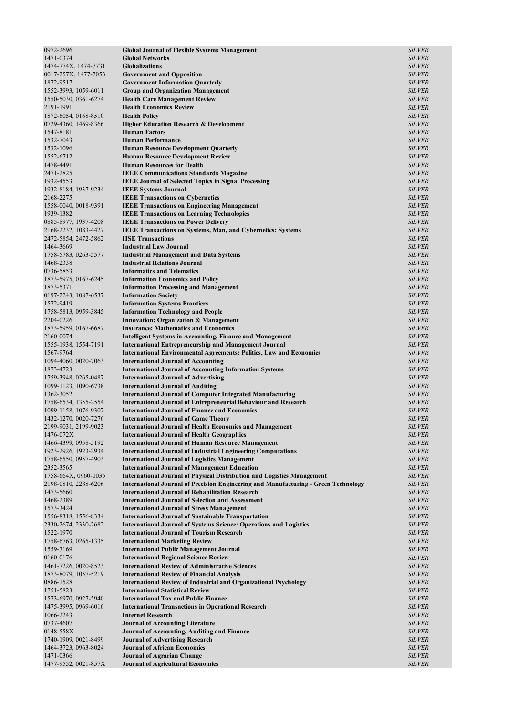| 0972-2696                                    | <b>Global Journal of Flexible Systems Management</b>                                                                                    | <i>SILVER</i>                  |
|----------------------------------------------|-----------------------------------------------------------------------------------------------------------------------------------------|--------------------------------|
| 1471-0374                                    | <b>Global Networks</b>                                                                                                                  | <b>SILVER</b>                  |
| 1474-774X, 1474-7731<br>0017-257X, 1477-7053 | <b>Globalizations</b><br><b>Government and Opposition</b>                                                                               | <b>SILVER</b><br><b>SILVER</b> |
| 1872-9517                                    | <b>Government Information Quarterly</b>                                                                                                 | <i>SILVER</i>                  |
| 1552-3993, 1059-6011                         | <b>Group and Organization Management</b>                                                                                                | <b>SILVER</b>                  |
| 1550-5030, 0361-6274                         | <b>Health Care Management Review</b>                                                                                                    | <b>SILVER</b>                  |
| 2191-1991                                    | <b>Health Economics Review</b>                                                                                                          | <b>SILVER</b>                  |
| 1872-6054, 0168-8510                         | <b>Health Policy</b>                                                                                                                    | <b>SILVER</b>                  |
| 0729-4360, 1469-8366<br>1547-8181            | <b>Higher Education Research &amp; Development</b><br><b>Human Factors</b>                                                              | <b>SILVER</b><br><b>SILVER</b> |
| 1532-7043                                    | <b>Human Performance</b>                                                                                                                | <b>SILVER</b>                  |
| 1532-1096                                    | <b>Human Resource Development Quarterly</b>                                                                                             | <b>SILVER</b>                  |
| 1552-6712                                    | <b>Human Resource Development Review</b>                                                                                                | <b>SILVER</b>                  |
| 1478-4491                                    | <b>Human Resources for Health</b>                                                                                                       | <b>SILVER</b>                  |
| 2471-2825<br>1932-4553                       | <b>IEEE Communications Standards Magazine</b><br><b>IEEE Journal of Selected Topics in Signal Processing</b>                            | <b>SILVER</b><br><i>SILVER</i> |
| 1932-8184, 1937-9234                         | <b>IEEE Systems Journal</b>                                                                                                             | <b>SILVER</b>                  |
| 2168-2275                                    | <b>IEEE Transactions on Cybernetics</b>                                                                                                 | <b>SILVER</b>                  |
| 1558-0040, 0018-9391                         | <b>IEEE Transactions on Engineering Management</b>                                                                                      | <b>SILVER</b>                  |
| 1939-1382                                    | <b>IEEE Transactions on Learning Technologies</b>                                                                                       | <b>SILVER</b>                  |
| 0885-8977, 1937-4208<br>2168-2232, 1083-4427 | <b>IEEE Transactions on Power Delivery</b><br><b>IEEE Transactions on Systems, Man, and Cybernetics: Systems</b>                        | <b>SILVER</b><br><b>SILVER</b> |
| 2472-5854, 2472-5862                         | <b>IISE Transactions</b>                                                                                                                | <b>SILVER</b>                  |
| 1464-3669                                    | <b>Industrial Law Journal</b>                                                                                                           | <b>SILVER</b>                  |
| 1758-5783, 0263-5577                         | <b>Industrial Management and Data Systems</b>                                                                                           | <b>SILVER</b>                  |
| 1468-2338                                    | <b>Industrial Relations Journal</b>                                                                                                     | <b>SILVER</b>                  |
| 0736-5853                                    | <b>Informatics and Telematics</b>                                                                                                       | <b>SILVER</b>                  |
| 1873-5975, 0167-6245<br>1873-5371            | <b>Information Economics and Policy</b><br><b>Information Processing and Management</b>                                                 | <b>SILVER</b><br><b>SILVER</b> |
| 0197-2243, 1087-6537                         | <b>Information Society</b>                                                                                                              | <b>SILVER</b>                  |
| 1572-9419                                    | <b>Information Systems Frontiers</b>                                                                                                    | <b>SILVER</b>                  |
| 1758-5813, 0959-3845                         | <b>Information Technology and People</b>                                                                                                | <b>SILVER</b>                  |
| 2204-0226<br>1873-5959, 0167-6687            | <b>Innovation: Organization &amp; Management</b><br><b>Insurance: Mathematics and Economics</b>                                         | <b>SILVER</b><br><b>SILVER</b> |
| 2160-0074                                    | <b>Intelligent Systems in Accounting, Finance and Management</b>                                                                        | <b>SILVER</b>                  |
| 1555-1938, 1554-7191                         | <b>International Entrepreneurship and Management Journal</b>                                                                            | <i>SILVER</i>                  |
| 1567-9764                                    | <b>International Environmental Agreements: Politics, Law and Economics</b>                                                              | <b>SILVER</b>                  |
| 1094-4060, 0020-7063                         | <b>International Journal of Accounting</b>                                                                                              | <b>SILVER</b>                  |
| 1873-4723                                    | <b>International Journal of Accounting Information Systems</b>                                                                          | <b>SILVER</b><br><b>SILVER</b> |
| 1759-3948, 0265-0487<br>1099-1123, 1090-6738 | <b>International Journal of Advertising</b><br><b>International Journal of Auditing</b>                                                 | <b>SILVER</b>                  |
| 1362-3052                                    | <b>International Journal of Computer Integrated Manufacturing</b>                                                                       | <b>SILVER</b>                  |
| 1758-6534, 1355-2554                         | <b>International Journal of Entrepreneurial Behaviour and Research</b>                                                                  | <b>SILVER</b>                  |
| 1099-1158, 1076-9307                         | <b>International Journal of Finance and Economics</b>                                                                                   | <b>SILVER</b>                  |
| 1432-1270, 0020-7276<br>2199-9031, 2199-9023 | <b>International Journal of Game Theory</b><br><b>International Journal of Health Economics and Management</b>                          | <i>SILVER</i><br><b>SILVER</b> |
| 1476-072X                                    | <b>International Journal of Health Geographics</b>                                                                                      | <i>SILVER</i>                  |
| 1466-4399, 0958-5192                         | <b>International Journal of Human Resource Management</b>                                                                               | <b>SILVER</b>                  |
| 1923-2926, 1923-2934                         | <b>International Journal of Industrial Engineering Computations</b>                                                                     | <i>SILVER</i>                  |
| 1758-6550, 0957-4903                         | <b>International Journal of Logistics Management</b>                                                                                    | <i>SILVER</i>                  |
| 2352-3565<br>1758-664X, 0960-0035            | <b>International Journal of Management Education</b><br><b>International Journal of Physical Distribution and Logistics Management</b>  | <i>SILVER</i><br><b>SILVER</b> |
| 2198-0810, 2288-6206                         | <b>International Journal of Precision Engineering and Manufacturing - Green Technology</b>                                              | <b>SILVER</b>                  |
| 1473-5660                                    | <b>International Journal of Rehabilitation Research</b>                                                                                 | <b>SILVER</b>                  |
| 1468-2389                                    | <b>International Journal of Selection and Assessment</b>                                                                                | <i>SILVER</i>                  |
| 1573-3424                                    | <b>International Journal of Stress Management</b>                                                                                       | <i>SILVER</i><br><b>SILVER</b> |
| 1556-8318, 1556-8334<br>2330-2674, 2330-2682 | <b>International Journal of Sustainable Transportation</b><br><b>International Journal of Systems Science: Operations and Logistics</b> | <i>SILVER</i>                  |
| 1522-1970                                    | <b>International Journal of Tourism Research</b>                                                                                        | <i>SILVER</i>                  |
| 1758-6763, 0265-1335                         | <b>International Marketing Review</b>                                                                                                   | <i>SILVER</i>                  |
| 1559-3169                                    | <b>International Public Management Journal</b>                                                                                          | <i>SILVER</i>                  |
| 0160-0176                                    | <b>International Regional Science Review</b>                                                                                            | <i>SILVER</i>                  |
| 1461-7226, 0020-8523<br>1873-8079, 1057-5219 | <b>International Review of Administrative Sciences</b><br><b>International Review of Financial Analysis</b>                             | <i>SILVER</i><br><i>SILVER</i> |
| 0886-1528                                    | <b>International Review of Industrial and Organizational Psychology</b>                                                                 | <i>SILVER</i>                  |
| 1751-5823                                    | <b>International Statistical Review</b>                                                                                                 | <i>SILVER</i>                  |
| 1573-6970, 0927-5940                         | <b>International Tax and Public Finance</b>                                                                                             | <i>SILVER</i>                  |
| 1475-3995, 0969-6016<br>1066-2243            | <b>International Transactions in Operational Research</b><br><b>Internet Research</b>                                                   | <i>SILVER</i>                  |
| 0737-4607                                    | <b>Journal of Accounting Literature</b>                                                                                                 | <i>SILVER</i><br><i>SILVER</i> |
| 0148-558X                                    | Journal of Accounting, Auditing and Finance                                                                                             | <i>SILVER</i>                  |
| 1740-1909, 0021-8499                         | <b>Journal of Advertising Research</b>                                                                                                  | <i>SILVER</i>                  |
| 1464-3723, 0963-8024                         | <b>Journal of African Economies</b>                                                                                                     | <i>SILVER</i>                  |
| 1471-0366<br>1477-9552, 0021-857X            | <b>Journal of Agrarian Change</b><br><b>Journal of Agricultural Economics</b>                                                           | <i>SILVER</i><br><i>SILVER</i> |
|                                              |                                                                                                                                         |                                |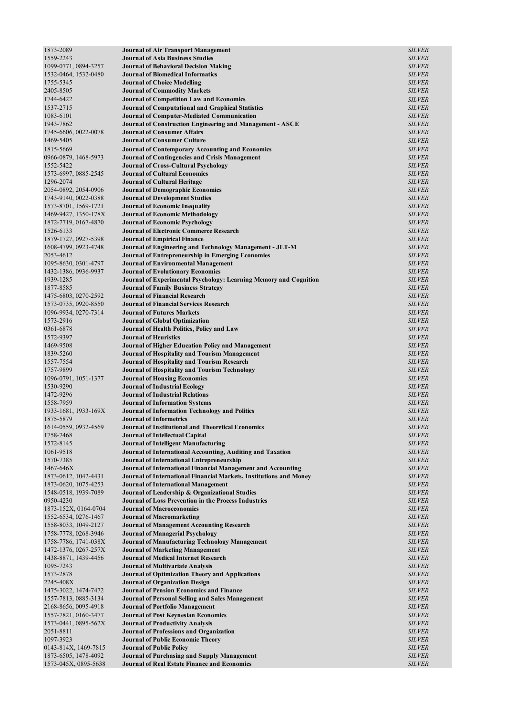| 1873-2089                                    | <b>Journal of Air Transport Management</b>                                                                    | <b>SILVER</b>                  |
|----------------------------------------------|---------------------------------------------------------------------------------------------------------------|--------------------------------|
| 1559-2243                                    | <b>Journal of Asia Business Studies</b>                                                                       | <b>SILVER</b>                  |
| 1099-0771, 0894-3257                         | <b>Journal of Behavioral Decision Making</b>                                                                  | <b>SILVER</b>                  |
| 1532-0464, 1532-0480<br>1755-5345            | <b>Journal of Biomedical Informatics</b><br><b>Journal of Choice Modelling</b>                                | <b>SILVER</b><br><i>SILVER</i> |
| 2405-8505                                    | <b>Journal of Commodity Markets</b>                                                                           | <i>SILVER</i>                  |
| 1744-6422                                    | <b>Journal of Competition Law and Economics</b>                                                               | <b>SILVER</b>                  |
| 1537-2715                                    | <b>Journal of Computational and Graphical Statistics</b>                                                      | <b>SILVER</b>                  |
| 1083-6101                                    | <b>Journal of Computer-Mediated Communication</b>                                                             | <b>SILVER</b>                  |
| 1943-7862                                    | Journal of Construction Engineering and Management - ASCE                                                     | <i>SILVER</i>                  |
| 1745-6606, 0022-0078                         | <b>Journal of Consumer Affairs</b>                                                                            | <b>SILVER</b>                  |
| 1469-5405                                    | <b>Journal of Consumer Culture</b>                                                                            | <b>SILVER</b>                  |
| 1815-5669                                    | <b>Journal of Contemporary Accounting and Economics</b>                                                       | <i>SILVER</i>                  |
| 0966-0879, 1468-5973                         | <b>Journal of Contingencies and Crisis Management</b>                                                         | <i>SILVER</i>                  |
| 1552-5422                                    | <b>Journal of Cross-Cultural Psychology</b>                                                                   | <b>SILVER</b>                  |
| 1573-6997, 0885-2545<br>1296-2074            | <b>Journal of Cultural Economics</b><br><b>Journal of Cultural Heritage</b>                                   | <b>SILVER</b><br><b>SILVER</b> |
| 2054-0892, 2054-0906                         | <b>Journal of Demographic Economics</b>                                                                       | <i>SILVER</i>                  |
| 1743-9140, 0022-0388                         | <b>Journal of Development Studies</b>                                                                         | <i>SILVER</i>                  |
| 1573-8701, 1569-1721                         | <b>Journal of Economic Inequality</b>                                                                         | <b>SILVER</b>                  |
| 1469-9427, 1350-178X                         | <b>Journal of Economic Methodology</b>                                                                        | <b>SILVER</b>                  |
| 1872-7719, 0167-4870                         | <b>Journal of Economic Psychology</b>                                                                         | <b>SILVER</b>                  |
| 1526-6133                                    | <b>Journal of Electronic Commerce Research</b>                                                                | <b>SILVER</b>                  |
| 1879-1727, 0927-5398                         | <b>Journal of Empirical Finance</b>                                                                           | <b>SILVER</b>                  |
| 1608-4799, 0923-4748                         | Journal of Engineering and Technology Management - JET-M                                                      | <b>SILVER</b>                  |
| 2053-4612                                    | Journal of Entrepreneurship in Emerging Economies                                                             | <b>SILVER</b>                  |
| 1095-8630, 0301-4797<br>1432-1386, 0936-9937 | <b>Journal of Environmental Management</b><br><b>Journal of Evolutionary Economics</b>                        | <b>SILVER</b><br><b>SILVER</b> |
| 1939-1285                                    | Journal of Experimental Psychology: Learning Memory and Cognition                                             | <b>SILVER</b>                  |
| 1877-8585                                    | <b>Journal of Family Business Strategy</b>                                                                    | <b>SILVER</b>                  |
| 1475-6803, 0270-2592                         | <b>Journal of Financial Research</b>                                                                          | <b>SILVER</b>                  |
| 1573-0735, 0920-8550                         | <b>Journal of Financial Services Research</b>                                                                 | <b>SILVER</b>                  |
| 1096-9934, 0270-7314                         | <b>Journal of Futures Markets</b>                                                                             | <i>SILVER</i>                  |
| 1573-2916                                    | <b>Journal of Global Optimization</b>                                                                         | <i>SILVER</i>                  |
| 0361-6878                                    | Journal of Health Politics, Policy and Law                                                                    | <b>SILVER</b>                  |
| 1572-9397                                    | <b>Journal of Heuristics</b>                                                                                  | <b>SILVER</b>                  |
| 1469-9508<br>1839-5260                       | <b>Journal of Higher Education Policy and Management</b><br>Journal of Hospitality and Tourism Management     | <b>SILVER</b><br><b>SILVER</b> |
| 1557-7554                                    | Journal of Hospitality and Tourism Research                                                                   | <i>SILVER</i>                  |
| 1757-9899                                    | Journal of Hospitality and Tourism Technology                                                                 | <b>SILVER</b>                  |
| 1096-0791, 1051-1377                         | <b>Journal of Housing Economics</b>                                                                           | <i>SILVER</i>                  |
| 1530-9290                                    | <b>Journal of Industrial Ecology</b>                                                                          | <b>SILVER</b>                  |
| 1472-9296                                    | <b>Journal of Industrial Relations</b>                                                                        | <b>SILVER</b>                  |
| 1558-7959                                    | <b>Journal of Information Systems</b>                                                                         | <i>SILVER</i>                  |
| 1933-1681, 1933-169X                         | <b>Journal of Information Technology and Politics</b>                                                         | <b>SILVER</b>                  |
| 1875-5879<br>1614-0559, 0932-4569            | <b>Journal of Informetrics</b><br><b>Journal of Institutional and Theoretical Economics</b>                   | <i>SILVER</i><br><b>SILVER</b> |
| 1758-7468                                    | <b>Journal of Intellectual Capital</b>                                                                        | <i>SILVER</i>                  |
| 1572-8145                                    | Journal of Intelligent Manufacturing                                                                          | <b>SILVER</b>                  |
| 1061-9518                                    | Journal of International Accounting, Auditing and Taxation                                                    | <b>SILVER</b>                  |
| 1570-7385                                    | Journal of International Entrepreneurship                                                                     | <b>SILVER</b>                  |
| 1467-646X                                    | Journal of International Financial Management and Accounting                                                  | <b>SILVER</b>                  |
| 1873-0612, 1042-4431                         | Journal of International Financial Markets, Institutions and Money                                            | <b>SILVER</b>                  |
| 1873-0620, 1075-4253                         | <b>Journal of International Management</b>                                                                    | <b>SILVER</b>                  |
| 1548-0518, 1939-7089<br>0950-4230            | Journal of Leadership & Organizational Studies<br><b>Journal of Loss Prevention in the Process Industries</b> | <b>SILVER</b><br><b>SILVER</b> |
| 1873-152X, 0164-0704                         | <b>Journal of Macroeconomics</b>                                                                              | <b>SILVER</b>                  |
| 1552-6534, 0276-1467                         | <b>Journal of Macromarketing</b>                                                                              | <b>SILVER</b>                  |
| 1558-8033, 1049-2127                         | <b>Journal of Management Accounting Research</b>                                                              | <b>SILVER</b>                  |
| 1758-7778, 0268-3946                         | <b>Journal of Managerial Psychology</b>                                                                       | <b>SILVER</b>                  |
| 1758-7786, 1741-038X                         | <b>Journal of Manufacturing Technology Management</b>                                                         | <b>SILVER</b>                  |
| 1472-1376, 0267-257X                         | <b>Journal of Marketing Management</b>                                                                        | <i>SILVER</i>                  |
| 1438-8871, 1439-4456                         | <b>Journal of Medical Internet Research</b>                                                                   | <b>SILVER</b>                  |
| 1095-7243<br>1573-2878                       | <b>Journal of Multivariate Analysis</b><br><b>Journal of Optimization Theory and Applications</b>             | <b>SILVER</b><br><b>SILVER</b> |
| 2245-408X                                    | <b>Journal of Organization Design</b>                                                                         | <b>SILVER</b>                  |
| 1475-3022, 1474-7472                         | <b>Journal of Pension Economics and Finance</b>                                                               | <i>SILVER</i>                  |
| 1557-7813, 0885-3134                         | <b>Journal of Personal Selling and Sales Management</b>                                                       | <b>SILVER</b>                  |
| 2168-8656, 0095-4918                         | <b>Journal of Portfolio Management</b>                                                                        | <b>SILVER</b>                  |
| 1557-7821, 0160-3477                         | <b>Journal of Post Keynesian Economics</b>                                                                    | <b>SILVER</b>                  |
| 1573-0441, 0895-562X                         | <b>Journal of Productivity Analysis</b>                                                                       | <b>SILVER</b>                  |
| 2051-8811                                    | <b>Journal of Professions and Organization</b>                                                                | <i>SILVER</i>                  |
| 1097-3923<br>0143-814X, 1469-7815            | <b>Journal of Public Economic Theory</b><br><b>Journal of Public Policy</b>                                   | <b>SILVER</b><br><b>SILVER</b> |
| 1873-6505, 1478-4092                         | <b>Journal of Purchasing and Supply Management</b>                                                            | <b>SILVER</b>                  |
| 1573-045X, 0895-5638                         | <b>Journal of Real Estate Finance and Economics</b>                                                           | <b>SILVER</b>                  |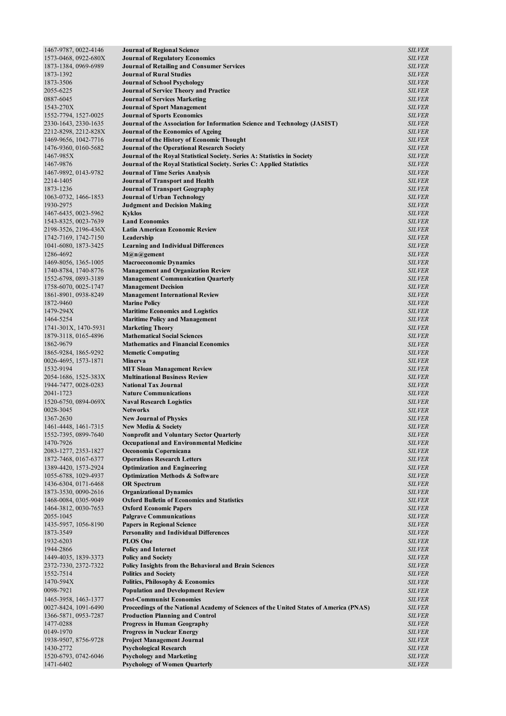| 1467-9787, 0022-4146              | <b>Journal of Regional Science</b>                                                     | <b>SILVER</b>                  |
|-----------------------------------|----------------------------------------------------------------------------------------|--------------------------------|
| 1573-0468, 0922-680X              | <b>Journal of Regulatory Economics</b>                                                 | <b>SILVER</b>                  |
| 1873-1384, 0969-6989              | <b>Journal of Retailing and Consumer Services</b>                                      | <b>SILVER</b>                  |
| 1873-1392                         | <b>Journal of Rural Studies</b>                                                        | <b>SILVER</b>                  |
| 1873-3506                         | <b>Journal of School Psychology</b>                                                    | <b>SILVER</b>                  |
| 2055-6225                         | <b>Journal of Service Theory and Practice</b>                                          | <b>SILVER</b>                  |
| 0887-6045                         | <b>Journal of Services Marketing</b>                                                   | <b>SILVER</b>                  |
| 1543-270X                         | <b>Journal of Sport Management</b>                                                     | <b>SILVER</b>                  |
| 1552-7794, 1527-0025              | <b>Journal of Sports Economics</b>                                                     | <b>SILVER</b>                  |
| 2330-1643, 2330-1635              | Journal of the Association for Information Science and Technology (JASIST)             | <b>SILVER</b>                  |
| 2212-8298, 2212-828X              | <b>Journal of the Economics of Ageing</b>                                              | <b>SILVER</b>                  |
| 1469-9656, 1042-7716              | Journal of the History of Economic Thought                                             | <b>SILVER</b>                  |
| 1476-9360, 0160-5682              | <b>Journal of the Operational Research Society</b>                                     | <b>SILVER</b>                  |
|                                   |                                                                                        |                                |
| 1467-985X                         | Journal of the Royal Statistical Society. Series A: Statistics in Society              | <b>SILVER</b>                  |
| 1467-9876                         | Journal of the Royal Statistical Society. Series C: Applied Statistics                 | <b>SILVER</b>                  |
| 1467-9892, 0143-9782              | <b>Journal of Time Series Analysis</b>                                                 | <i>SILVER</i>                  |
| 2214-1405                         | <b>Journal of Transport and Health</b>                                                 | <b>SILVER</b>                  |
| 1873-1236                         | <b>Journal of Transport Geography</b>                                                  | <b>SILVER</b>                  |
| 1063-0732, 1466-1853              | <b>Journal of Urban Technology</b>                                                     | <b>SILVER</b>                  |
| 1930-2975                         | <b>Judgment and Decision Making</b>                                                    | <b>SILVER</b>                  |
| 1467-6435, 0023-5962              | <b>Kyklos</b>                                                                          | <i>SILVER</i>                  |
| 1543-8325, 0023-7639              | <b>Land Economics</b>                                                                  | <b>SILVER</b>                  |
| 2198-3526, 2196-436X              | <b>Latin American Economic Review</b>                                                  | <b>SILVER</b>                  |
| 1742-7169, 1742-7150              | Leadership                                                                             | <b>SILVER</b>                  |
| 1041-6080, 1873-3425              | <b>Learning and Individual Differences</b>                                             | <b>SILVER</b>                  |
| 1286-4692                         | $M(a)n(a)$ gement                                                                      | <i>SILVER</i>                  |
| 1469-8056, 1365-1005              | <b>Macroeconomic Dynamics</b>                                                          | <b>SILVER</b>                  |
| 1740-8784, 1740-8776              | <b>Management and Organization Review</b>                                              | <b>SILVER</b>                  |
| 1552-6798, 0893-3189              | <b>Management Communication Quarterly</b>                                              | <b>SILVER</b>                  |
| 1758-6070, 0025-1747              | <b>Management Decision</b>                                                             | <b>SILVER</b>                  |
| 1861-8901, 0938-8249              | <b>Management International Review</b>                                                 | <i>SILVER</i>                  |
| 1872-9460                         | <b>Marine Policy</b>                                                                   | <b>SILVER</b>                  |
| 1479-294X                         | <b>Maritime Economics and Logistics</b>                                                | <b>SILVER</b>                  |
| 1464-5254                         | <b>Maritime Policy and Management</b>                                                  | <b>SILVER</b>                  |
| 1741-301X, 1470-5931              | <b>Marketing Theory</b>                                                                | <b>SILVER</b>                  |
| 1879-3118, 0165-4896              | <b>Mathematical Social Sciences</b>                                                    | <i>SILVER</i>                  |
| 1862-9679                         | <b>Mathematics and Financial Economics</b>                                             | <b>SILVER</b>                  |
| 1865-9284, 1865-9292              |                                                                                        | <i>SILVER</i>                  |
|                                   | <b>Memetic Computing</b>                                                               |                                |
| 0026-4695, 1573-1871              | <b>Minerva</b>                                                                         | <b>SILVER</b>                  |
| 1532-9194                         | <b>MIT Sloan Management Review</b>                                                     | <i>SILVER</i>                  |
| 2054-1686, 1525-383X              | <b>Multinational Business Review</b>                                                   | <b>SILVER</b>                  |
| 1944-7477, 0028-0283              | <b>National Tax Journal</b>                                                            | <b>SILVER</b>                  |
| 2041-1723                         | <b>Nature Communications</b>                                                           | <i>SILVER</i>                  |
| 1520-6750, 0894-069X              | <b>Naval Research Logistics</b>                                                        | <b>SILVER</b>                  |
| 0028-3045                         | <b>Networks</b>                                                                        | <b>SILVER</b>                  |
| 1367-2630                         | <b>New Journal of Physics</b>                                                          | <b>SILVER</b>                  |
| 1461-4448, 1461-7315              | New Media & Society                                                                    | <i>SILVER</i>                  |
| 1552-7395, 0899-7640              | <b>Nonprofit and Voluntary Sector Quarterly</b>                                        | <b>SILVER</b>                  |
| 1470-7926                         | <b>Occupational and Environmental Medicine</b>                                         | <b>SILVER</b>                  |
| 2083-1277, 2353-1827              | Oeconomia Copernicana                                                                  | <b>SILVER</b>                  |
| 1872-7468, 0167-6377              | <b>Operations Research Letters</b>                                                     | <i>SILVER</i>                  |
| 1389-4420, 1573-2924              | <b>Optimization and Engineering</b>                                                    | <i>SILVER</i>                  |
| 1055-6788, 1029-4937              | <b>Optimization Methods &amp; Software</b>                                             | <i>SILVER</i>                  |
| 1436-6304, 0171-6468              | <b>OR Spectrum</b>                                                                     | <b>SILVER</b>                  |
| 1873-3530, 0090-2616              | <b>Organizational Dynamics</b>                                                         | <i>SILVER</i>                  |
| 1468-0084, 0305-9049              | <b>Oxford Bulletin of Economics and Statistics</b>                                     | <i>SILVER</i>                  |
| 1464-3812, 0030-7653              | <b>Oxford Economic Papers</b>                                                          | <i>SILVER</i>                  |
| 2055-1045                         | <b>Palgrave Communications</b>                                                         | <i>SILVER</i>                  |
| 1435-5957, 1056-8190              | <b>Papers in Regional Science</b>                                                      | <b>SILVER</b>                  |
| 1873-3549                         | <b>Personality and Individual Differences</b>                                          | <i>SILVER</i>                  |
| 1932-6203                         | <b>PLOS One</b>                                                                        | <i>SILVER</i>                  |
| 1944-2866                         | <b>Policy and Internet</b>                                                             | <i>SILVER</i>                  |
| 1449-4035, 1839-3373              | <b>Policy and Society</b>                                                              | <i>SILVER</i>                  |
| 2372-7330, 2372-7322              | <b>Policy Insights from the Behavioral and Brain Sciences</b>                          | <b>SILVER</b>                  |
| 1552-7514                         | <b>Politics and Society</b>                                                            | <i>SILVER</i>                  |
| 1470-594X                         | Politics, Philosophy & Economics                                                       | <i>SILVER</i>                  |
| 0098-7921                         | <b>Population and Development Review</b>                                               | <b>SILVER</b>                  |
| 1465-3958, 1463-1377              | <b>Post-Communist Economies</b>                                                        | <b>SILVER</b>                  |
| 0027-8424, 1091-6490              | Proceedings of the National Academy of Sciences of the United States of America (PNAS) | <i>SILVER</i>                  |
| 1366-5871, 0953-7287              | <b>Production Planning and Control</b>                                                 | <i>SILVER</i>                  |
| 1477-0288                         | <b>Progress in Human Geography</b>                                                     | <i>SILVER</i>                  |
|                                   |                                                                                        |                                |
| 0149-1970<br>1938-9507, 8756-9728 | <b>Progress in Nuclear Energy</b>                                                      | <i>SILVER</i><br><i>SILVER</i> |
| 1430-2772                         | <b>Project Management Journal</b><br><b>Psychological Research</b>                     | <i>SILVER</i>                  |
| 1520-6793, 0742-6046              | <b>Psychology and Marketing</b>                                                        | <i>SILVER</i>                  |
| 1471-6402                         | <b>Psychology of Women Quarterly</b>                                                   | <i>SILVER</i>                  |
|                                   |                                                                                        |                                |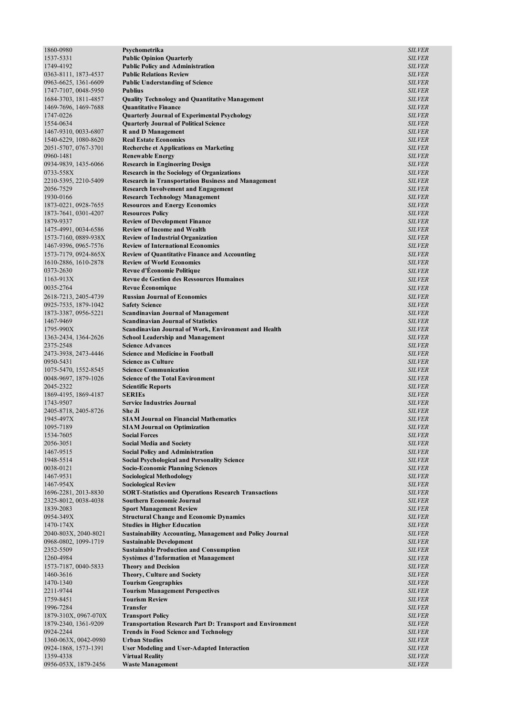| 1860-0980                         | Psychometrika                                                                    | <i>SILVER</i>                  |
|-----------------------------------|----------------------------------------------------------------------------------|--------------------------------|
| 1537-5331                         | <b>Public Opinion Quarterly</b>                                                  | <i>SILVER</i>                  |
| 1749-4192                         | <b>Public Policy and Administration</b>                                          | <i>SILVER</i>                  |
| 0363-8111, 1873-4537              | <b>Public Relations Review</b>                                                   | <b>SILVER</b>                  |
| 0963-6625, 1361-6609              | <b>Public Understanding of Science</b>                                           | <b>SILVER</b>                  |
| 1747-7107, 0048-5950              | <b>Publius</b>                                                                   | <b>SILVER</b>                  |
| 1684-3703, 1811-4857              | <b>Quality Technology and Quantitative Management</b>                            | <b>SILVER</b>                  |
| 1469-7696, 1469-7688              | <b>Ouantitative Finance</b>                                                      | <i>SILVER</i>                  |
| 1747-0226                         | Quarterly Journal of Experimental Psychology                                     | <b>SILVER</b>                  |
| 1554-0634                         | <b>Quarterly Journal of Political Science</b>                                    | <b>SILVER</b>                  |
| 1467-9310, 0033-6807              | <b>R</b> and <b>D</b> Management                                                 | <b>SILVER</b>                  |
| 1540-6229, 1080-8620              | <b>Real Estate Economics</b>                                                     | <b>SILVER</b>                  |
| 2051-5707, 0767-3701              | <b>Recherche et Applications en Marketing</b><br><b>Renewable Energy</b>         | <b>SILVER</b>                  |
| 0960-1481<br>0934-9839, 1435-6066 | <b>Research in Engineering Design</b>                                            | <b>SILVER</b><br><b>SILVER</b> |
| 0733-558X                         | <b>Research in the Sociology of Organizations</b>                                | <b>SILVER</b>                  |
| 2210-5395, 2210-5409              | <b>Research in Transportation Business and Management</b>                        | <b>SILVER</b>                  |
| 2056-7529                         | <b>Research Involvement and Engagement</b>                                       | <i>SILVER</i>                  |
| 1930-0166                         | <b>Research Technology Management</b>                                            | <b>SILVER</b>                  |
| 1873-0221, 0928-7655              | <b>Resources and Energy Economics</b>                                            | <b>SILVER</b>                  |
| 1873-7641, 0301-4207              | <b>Resources Policy</b>                                                          | <b>SILVER</b>                  |
| 1879-9337                         | <b>Review of Development Finance</b>                                             | <i>SILVER</i>                  |
| 1475-4991, 0034-6586              | <b>Review of Income and Wealth</b>                                               | <i>SILVER</i>                  |
| 1573-7160, 0889-938X              | <b>Review of Industrial Organization</b>                                         | <b>SILVER</b>                  |
| 1467-9396, 0965-7576              | <b>Review of International Economics</b>                                         | <b>SILVER</b>                  |
| 1573-7179, 0924-865X              | <b>Review of Quantitative Finance and Accounting</b>                             | <b>SILVER</b>                  |
| 1610-2886, 1610-2878              | <b>Review of World Economics</b>                                                 | <b>SILVER</b>                  |
| 0373-2630                         | Revue d'Économie Politique                                                       | <b>SILVER</b>                  |
| $1163 - 913X$                     | <b>Revue de Gestion des Ressources Humaines</b>                                  | <b>SILVER</b>                  |
| 0035-2764                         | Revue Economique                                                                 | <b>SILVER</b>                  |
| 2618-7213, 2405-4739              | <b>Russian Journal of Economics</b>                                              | <b>SILVER</b>                  |
| 0925-7535, 1879-1042              | <b>Safety Science</b>                                                            | <b>SILVER</b>                  |
| 1873-3387, 0956-5221              | <b>Scandinavian Journal of Management</b>                                        | <i>SILVER</i>                  |
| 1467-9469                         | <b>Scandinavian Journal of Statistics</b>                                        | <i>SILVER</i>                  |
| 1795-990X                         | Scandinavian Journal of Work, Environment and Health                             | <b>SILVER</b>                  |
| 1363-2434, 1364-2626              | <b>School Leadership and Management</b>                                          | <b>SILVER</b>                  |
| 2375-2548                         | <b>Science Advances</b>                                                          | <b>SILVER</b>                  |
| 2473-3938, 2473-4446              | <b>Science and Medicine in Football</b>                                          | <i>SILVER</i>                  |
| 0950-5431<br>1075-5470, 1552-8545 | <b>Science as Culture</b><br><b>Science Communication</b>                        | <i>SILVER</i><br><b>SILVER</b> |
| 0048-9697, 1879-1026              | <b>Science of the Total Environment</b>                                          | <b>SILVER</b>                  |
| 2045-2322                         | <b>Scientific Reports</b>                                                        | <b>SILVER</b>                  |
| 1869-4195, 1869-4187              | <b>SERIEs</b>                                                                    | <i>SILVER</i>                  |
| 1743-9507                         | <b>Service Industries Journal</b>                                                | <i>SILVER</i>                  |
| 2405-8718, 2405-8726              | She Ji                                                                           | <b>SILVER</b>                  |
| 1945-497X                         | <b>SIAM Journal on Financial Mathematics</b>                                     | <b>SILVER</b>                  |
| 1095-7189                         | <b>SIAM Journal on Optimization</b>                                              | <i>SILVER</i>                  |
| 1534-7605                         | <b>Social Forces</b>                                                             | <i>SILVER</i>                  |
| 2056-3051                         | <b>Social Media and Society</b>                                                  | <i>SILVER</i>                  |
| 1467-9515                         | <b>Social Policy and Administration</b>                                          | <b>SILVER</b>                  |
| 1948-5514                         | <b>Social Psychological and Personality Science</b>                              | <b>SILVER</b>                  |
| 0038-0121                         | <b>Socio-Economic Planning Sciences</b>                                          | <b>SILVER</b>                  |
| 1467-9531                         | <b>Sociological Methodology</b>                                                  | <i>SILVER</i>                  |
| 1467-954X                         | <b>Sociological Review</b>                                                       | <i>SILVER</i>                  |
| 1696-2281, 2013-8830              | <b>SORT-Statistics and Operations Research Transactions</b>                      | <b>SILVER</b>                  |
| 2325-8012, 0038-4038              | <b>Southern Economic Journal</b>                                                 | <b>SILVER</b>                  |
| 1839-2083<br>0954-349X            | <b>Sport Management Review</b><br><b>Structural Change and Economic Dynamics</b> | <b>SILVER</b><br><b>SILVER</b> |
| 1470-174X                         | <b>Studies in Higher Education</b>                                               | <i>SILVER</i>                  |
| 2040-803X, 2040-8021              | <b>Sustainability Accounting, Management and Policy Journal</b>                  | <b>SILVER</b>                  |
| 0968-0802, 1099-1719              | <b>Sustainable Development</b>                                                   | <b>SILVER</b>                  |
| 2352-5509                         | <b>Sustainable Production and Consumption</b>                                    | <b>SILVER</b>                  |
| 1260-4984                         | <b>Systèmes d'Information et Management</b>                                      | <b>SILVER</b>                  |
| 1573-7187, 0040-5833              | <b>Theory and Decision</b>                                                       | <b>SILVER</b>                  |
| 1460-3616                         | <b>Theory, Culture and Society</b>                                               | <b>SILVER</b>                  |
| 1470-1340                         | <b>Tourism Geographies</b>                                                       | <b>SILVER</b>                  |
| 2211-9744                         | <b>Tourism Management Perspectives</b>                                           | <b>SILVER</b>                  |
| 1759-8451                         | <b>Tourism Review</b>                                                            | <b>SILVER</b>                  |
| 1996-7284                         | <b>Transfer</b>                                                                  | <b>SILVER</b>                  |
| 1879-310X, 0967-070X              | <b>Transport Policy</b>                                                          | <b>SILVER</b>                  |
| 1879-2340, 1361-9209              | <b>Transportation Research Part D: Transport and Environment</b>                 | <b>SILVER</b>                  |
| 0924-2244                         | <b>Trends in Food Science and Technology</b>                                     | <b>SILVER</b>                  |
| 1360-063X, 0042-0980              | <b>Urban Studies</b>                                                             | <b>SILVER</b>                  |
| 0924-1868, 1573-1391<br>1359-4338 | <b>User Modeling and User-Adapted Interaction</b><br><b>Virtual Reality</b>      | <b>SILVER</b><br><b>SILVER</b> |
| 0956-053X, 1879-2456              | <b>Waste Management</b>                                                          | <i>SILVER</i>                  |
|                                   |                                                                                  |                                |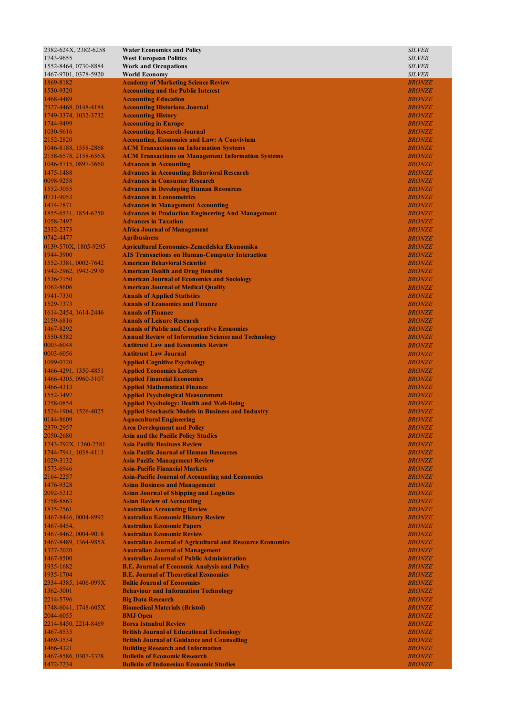| 2382-624X, 2382-6258              | <b>Water Economics and Policy</b>                                                              | <b>SILVER</b>                  |
|-----------------------------------|------------------------------------------------------------------------------------------------|--------------------------------|
| 1743-9655                         | <b>West European Politics</b>                                                                  | <b>SILVER</b>                  |
| 1552-8464, 0730-8884              | <b>Work and Occupations</b>                                                                    | <b>SILVER</b>                  |
| 1467-9701, 0378-5920              | <b>World Economy</b>                                                                           | <b>SILVER</b>                  |
| 1869-8182                         | <b>Academy of Marketing Science Review</b>                                                     | <b>BRONZE</b>                  |
| 1530-9320                         | <b>Accounting and the Public Interest</b>                                                      | <b>BRONZE</b>                  |
| 1468-4489                         | <b>Accounting Education</b>                                                                    | <b>BRONZE</b>                  |
| 2327-4468, 0148-4184              | <b>Accounting Historians Journal</b>                                                           | <b>BRONZE</b>                  |
| 1749-3374, 1032-3732              | <b>Accounting History</b>                                                                      | <b>BRONZE</b>                  |
| 1744-9499                         | <b>Accounting in Europe</b>                                                                    | <b>BRONZE</b>                  |
| 1030-9616                         | <b>Accounting Research Journal</b>                                                             | <b>BRONZE</b>                  |
| 2152-2820                         | <b>Accounting, Economics and Law: A Convivium</b>                                              | <b>BRONZE</b>                  |
| 1046-8188, 1558-2868              | <b>ACM Transactions on Information Systems</b>                                                 | <b>BRONZE</b>                  |
| 2158-6578, 2158-656X              | <b>ACM Transactions on Management Information Systems</b>                                      | <b>BRONZE</b>                  |
| 1046-5715, 0897-3660              | <b>Advances in Accounting</b>                                                                  | <b>BRONZE</b>                  |
| 1475-1488                         | <b>Advances in Accounting Behavioral Research</b>                                              | <b>BRONZE</b>                  |
| 0098-9258                         | <b>Advances in Consumer Research</b>                                                           | <b>BRONZE</b>                  |
| 1552-3055                         | <b>Advances in Developing Human Resources</b>                                                  | <b>BRONZE</b>                  |
| 0731-9053                         | <b>Advances in Econometrics</b>                                                                | <b>BRONZE</b>                  |
| 1474-7871                         | <b>Advances in Management Accounting</b>                                                       | <b>BRONZE</b>                  |
| 1855-6531, 1854-6250              | <b>Advances in Production Engineering And Management</b>                                       | <b>BRONZE</b>                  |
| 1058-7497                         | <b>Advances in Taxation</b>                                                                    | <b>BRONZE</b>                  |
| 2332-2373                         | <b>Africa Journal of Management</b>                                                            | <b>BRONZE</b>                  |
| 0742-4477                         | <b>Agribusiness</b>                                                                            | <b>BRONZE</b>                  |
| 0139-570X, 1805-9295              | Agricultural Economics-Zemedelska Ekonomika                                                    | <b>BRONZE</b>                  |
| 1944-3900                         | <b>AIS Transactions on Human-Computer Interaction</b>                                          | <b>BRONZE</b>                  |
| 1552-3381, 0002-7642              | <b>American Behavioral Scientist</b>                                                           | <b>BRONZE</b>                  |
| 1942-2962, 1942-2970              | <b>American Health and Drug Benefits</b>                                                       | <b>BRONZE</b>                  |
| 1536-7150                         | <b>American Journal of Economics and Sociology</b>                                             | <b>BRONZE</b>                  |
| 1062-8606                         | <b>American Journal of Medical Quality</b>                                                     | <b>BRONZE</b>                  |
| 1941-7330                         | <b>Annals of Applied Statistics</b>                                                            | <b>BRONZE</b>                  |
| 1529-7373                         | <b>Annals of Economics and Finance</b>                                                         | <b>BRONZE</b>                  |
| 1614-2454, 1614-2446              | <b>Annals of Finance</b>                                                                       | <b>BRONZE</b>                  |
| 2159-6816                         | <b>Annals of Leisure Research</b>                                                              | <b>BRONZE</b>                  |
| 1467-8292                         | <b>Annals of Public and Cooperative Economics</b>                                              | <b>BRONZE</b>                  |
| 1550-8382                         | <b>Annual Review of Information Science and Technology</b>                                     | <b>BRONZE</b>                  |
| 0003-6048                         | <b>Antitrust Law and Economics Review</b>                                                      | <b>BRONZE</b>                  |
| 0003-6056                         | <b>Antitrust Law Journal</b>                                                                   | <b>BRONZE</b>                  |
| 1099-0720                         | <b>Applied Cognitive Psychology</b>                                                            | <b>BRONZE</b>                  |
| 1466-4291, 1350-4851              | <b>Applied Economics Letters</b>                                                               | <b>BRONZE</b>                  |
| 1466-4305, 0960-3107              | <b>Applied Financial Economics</b>                                                             | <b>BRONZE</b>                  |
| 1466-4313                         | <b>Applied Mathematical Finance</b>                                                            | <b>BRONZE</b>                  |
| 1552-3497                         | <b>Applied Psychological Measurement</b>                                                       | <b>BRONZE</b>                  |
| 1758-0854                         | <b>Applied Psychology: Health and Well-Being</b>                                               | <b>BRONZE</b>                  |
| 1524-1904, 1526-4025              | <b>Applied Stochastic Models in Business and Industry</b>                                      | <b>BRONZE</b>                  |
| 0144-8609                         | <b>Aquacultural Engineering</b>                                                                | <b>BRONZE</b>                  |
| 2379-2957                         | <b>Area Development and Policy</b>                                                             | <b>BRONZE</b>                  |
| 2050-2680                         | <b>Asia and the Pacific Policy Studies</b>                                                     | <b>BRONZE</b>                  |
| 1743-792X, 1360-2381              | <b>Asia Pacific Business Review</b>                                                            | <b>BRONZE</b>                  |
| 1744-7941, 1038-4111              | <b>Asia Pacific Journal of Human Resources</b>                                                 | <b>BRONZE</b>                  |
| 1029-3132                         | <b>Asia Pacific Management Review</b>                                                          | <b>BRONZE</b>                  |
| 1573-6946                         | <b>Asia-Pacific Financial Markets</b>                                                          | <b>BRONZE</b>                  |
| 2164-2257                         | <b>Asia-Pacific Journal of Accounting and Economics</b>                                        | <b>BRONZE</b>                  |
| 1476-9328                         | <b>Asian Business and Management</b>                                                           | <b>BRONZE</b>                  |
| 2092-5212                         | <b>Asian Journal of Shipping and Logistics</b>                                                 | <b>BRONZE</b>                  |
| 1758-8863                         | <b>Asian Review of Accounting</b>                                                              | <b>BRONZE</b>                  |
| 1835-2561                         | <b>Australian Accounting Review</b>                                                            | <b>BRONZE</b>                  |
| 1467-8446, 0004-8992              | <b>Australian Economic History Review</b>                                                      | <b>BRONZE</b>                  |
| 1467-8454,                        | <b>Australian Economic Papers</b>                                                              | <b>BRONZE</b>                  |
| 1467-8462, 0004-9018              | <b>Australian Economic Review</b>                                                              | <b>BRONZE</b>                  |
| 1467-8489, 1364-985X              | <b>Australian Journal of Agricultural and Resource Economics</b>                               | <b>BRONZE</b>                  |
| 1327-2020                         | <b>Australian Journal of Management</b>                                                        | <b>BRONZE</b>                  |
| 1467-8500                         | <b>Australian Journal of Public Administration</b>                                             | <b>BRONZE</b>                  |
| 1935-1682                         | <b>B.E. Journal of Economic Analysis and Policy</b>                                            | <b>BRONZE</b>                  |
| 1935-1704                         | <b>B.E. Journal of Theoretical Economics</b>                                                   | <b>BRONZE</b>                  |
| 2334-4385, 1406-099X              | <b>Baltic Journal of Economics</b>                                                             | <b>BRONZE</b>                  |
| 1362-3001                         | <b>Behaviour and Information Technology</b>                                                    | <b>BRONZE</b>                  |
| 2214-5796                         | <b>Big Data Research</b>                                                                       | <b>BRONZE</b>                  |
| 1748-6041, 1748-605X              | <b>Biomedical Materials (Bristol)</b>                                                          | <b>BRONZE</b>                  |
| 2044-6055<br>2214-8450, 2214-8469 | <b>BMJ</b> Open<br><b>Borsa Istanbul Review</b>                                                | <b>BRONZE</b>                  |
| 1467-8535                         |                                                                                                | <b>BRONZE</b>                  |
| 1469-3534                         | <b>British Journal of Educational Technology</b>                                               | <b>BRONZE</b><br><b>BRONZE</b> |
| 1466-4321                         | <b>British Journal of Guidance and Counselling</b><br><b>Building Research and Information</b> | <b>BRONZE</b>                  |
| 1467-8586, 0307-3378              | <b>Bulletin of Economic Research</b>                                                           | <b>BRONZE</b>                  |
| 1472-7234                         | <b>Bulletin of Indonesian Economic Studies</b>                                                 | <b>BRONZE</b>                  |
|                                   |                                                                                                |                                |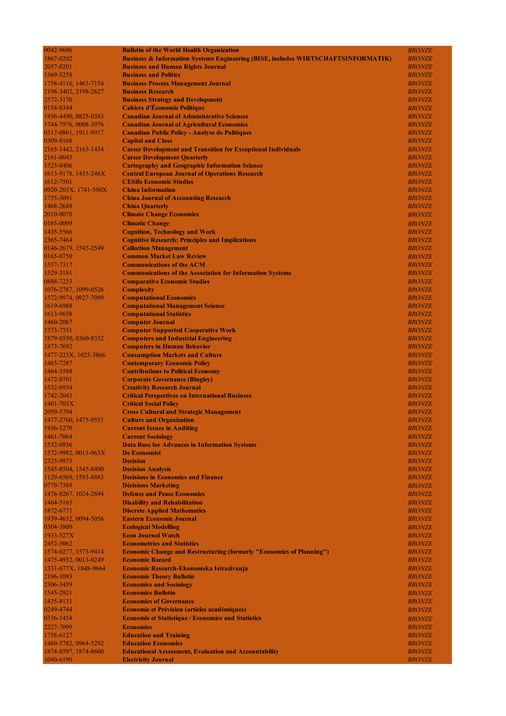| 0042-9686              | <b>Bulletin of the World Health Organization</b>                                                      | <b>BRONZE</b>                  |
|------------------------|-------------------------------------------------------------------------------------------------------|--------------------------------|
| 1867-0202              | <b>Business &amp; Information Systems Engineering (BISE, includes WIRTSCHAFTSINFORMATIK)</b>          | <b>BRONZE</b>                  |
| 2057-0201              | <b>Business and Human Rights Journal</b>                                                              | <b>BRONZE</b>                  |
| 1369-5258              | <b>Business and Politics</b>                                                                          | <b>BRONZE</b>                  |
| 1758-4116, 1463-7154   | <b>Business Process Management Journal</b>                                                            | <b>BRONZE</b>                  |
| 2198-3402, 2198-2627   | <b>Business Research</b>                                                                              | <b>BRONZE</b>                  |
| 2572-3170              | <b>Business Strategy and Development</b>                                                              | <b>BRONZE</b>                  |
| 0154-8344              | <b>Cahiers d'Économie Politique</b>                                                                   | <b>BRONZE</b>                  |
| 1936-4490, 0825-0383   | <b>Canadian Journal of Administrative Sciences</b>                                                    | <b>BRONZE</b>                  |
| 1744-7976, 0008-3976   | <b>Canadian Journal of Agricultural Economics</b>                                                     | <b>BRONZE</b>                  |
| 0317-0861, 1911-9917   | <b>Canadian Public Policy - Analyse de Politiques</b>                                                 | <b>BRONZE</b>                  |
| 0309-8168              | <b>Capital and Class</b>                                                                              | <b>BRONZE</b>                  |
| 2165-1442, 2165-1434   | <b>Career Development and Transition for Exceptional Individuals</b>                                  | <b>BRONZE</b>                  |
| 2161-0045              | <b>Career Development Quarterly</b>                                                                   | <b>BRONZE</b>                  |
| 1523-0406              | <b>Cartography and Geographic Information Science</b>                                                 | <b>BRONZE</b>                  |
| 1613-9178, 1435-246X   | <b>Central European Journal of Operations Research</b>                                                | <b>BRONZE</b>                  |
| 1612-7501              | <b>CESifo Economic Studies</b>                                                                        | <b>BRONZE</b>                  |
| 0920-203X, 1741-590X   | <b>China Information</b>                                                                              | <b>BRONZE</b>                  |
| 1755-3091              | <b>China Journal of Accounting Research</b>                                                           | <b>BRONZE</b>                  |
| 1468-2648              | <b>China Quarterly</b>                                                                                | <b>BRONZE</b>                  |
| 2010-0078              | <b>Climate Change Economics</b>                                                                       | <b>BRONZE</b>                  |
| 0165-0009              | <b>Climatic Change</b>                                                                                | <b>BRONZE</b>                  |
| 1435-5566              | <b>Cognition, Technology and Work</b>                                                                 | <b>BRONZE</b>                  |
| 2365-7464              | <b>Cognitive Research: Principles and Implications</b>                                                | <b>BRONZE</b>                  |
| 0146-2679, 1545-2549   | <b>Collection Management</b>                                                                          | <b>BRONZE</b>                  |
| 0165-0750              | <b>Common Market Law Review</b>                                                                       | <b>BRONZE</b>                  |
| 1557-7317              | <b>Communications of the ACM</b>                                                                      | <b>BRONZE</b>                  |
| 1529-3181              | <b>Communications of the Association for Information Systems</b>                                      | <b>BRONZE</b>                  |
| 0888-7233              | <b>Comparative Economic Studies</b>                                                                   | <b>BRONZE</b>                  |
| 1076-2787, 1099-0526   | <b>Complexity</b>                                                                                     | <b>BRONZE</b>                  |
| 1572-9974, 0927-7099   | <b>Computational Economics</b>                                                                        | <b>BRONZE</b>                  |
| 1619-6988              | <b>Computational Management Science</b>                                                               | <b>BRONZE</b>                  |
| 1613-9658              | <b>Computational Statistics</b>                                                                       | <b>BRONZE</b>                  |
| 1460-2067              | <b>Computer Journal</b>                                                                               | <b>BRONZE</b>                  |
| 1573-7551              | <b>Computer Supported Cooperative Work</b>                                                            | <b>BRONZE</b>                  |
| 1879-0550, 0360-8352   |                                                                                                       | <b>BRONZE</b>                  |
| 1873-7692              | <b>Computers and Industrial Engineering</b><br><b>Computers in Human Behavior</b>                     | <b>BRONZE</b>                  |
| 1477-223X, 1025-3866   |                                                                                                       | <b>BRONZE</b>                  |
| 1465-7287              | <b>Consumption Markets and Culture</b><br><b>Contemporary Economic Policy</b>                         | <b>BRONZE</b>                  |
| 1464-3588              | <b>Contributions to Political Economy</b>                                                             | <b>BRONZE</b>                  |
| 1472-0701              |                                                                                                       | <b>BRONZE</b>                  |
| 1532-6934              | <b>Corporate Governance (Bingley)</b><br><b>Creativity Research Journal</b>                           | <b>BRONZE</b>                  |
| 1742-2043              | <b>Critical Perspectives on International Business</b>                                                | <b>BRONZE</b>                  |
| $1461 - 703X$          | <b>Critical Social Policy</b>                                                                         | <b>BRONZE</b>                  |
| 2059-5794              | <b>Cross Cultural and Strategic Management</b>                                                        | <b>BRONZE</b>                  |
| 1477-2760, 1475-9551   | <b>Culture and Organization</b>                                                                       | <b>BRONZE</b>                  |
| 1936-1270              |                                                                                                       | <b>BRONZE</b>                  |
| 1461-7064              | <b>Current Issues in Auditing</b><br><b>Current Sociology</b>                                         | <b>BRONZE</b>                  |
| 1532-0936              | <b>Data Base for Advances in Information Systems</b>                                                  | <b>BRONZE</b>                  |
| 1572-9982, 0013-063X   | <b>De Economist</b>                                                                                   | <b>BRONZE</b>                  |
| 2325-9973              | <b>Decision</b>                                                                                       | <b>BRONZE</b>                  |
| 1545-8504, 1545-8490   | <b>Decision Analysis</b>                                                                              | <b>BRONZE</b>                  |
| 1129-6569, 1593-8883   | <b>Decisions in Economics and Finance</b>                                                             | <b>BRONZE</b>                  |
| 0779-7389              | <b>Décisions Marketing</b>                                                                            | <b>BRONZE</b>                  |
| 1476-8267, 1024-2694   | <b>Defence and Peace Economics</b>                                                                    | <b>BRONZE</b>                  |
|                        | <b>Disability and Rehabilitation</b>                                                                  |                                |
| 1464-5165<br>1872-6771 | <b>Discrete Applied Mathematics</b>                                                                   | <b>BRONZE</b><br><b>BRONZE</b> |
| 1939-4632, 0094-5056   | <b>Eastern Economic Journal</b>                                                                       |                                |
| 0304-3800              |                                                                                                       | <b>BRONZE</b>                  |
|                        | <b>Ecological Modelling</b>                                                                           | <b>BRONZE</b>                  |
| 1933-527X              | <b>Econ Journal Watch</b>                                                                             | <b>BRONZE</b>                  |
| 2452-3062              | <b>Econometrics and Statistics</b>                                                                    | <b>BRONZE</b>                  |
| 1574-0277, 1573-9414   | <b>Economic Change and Restructuring (formerly "Economics of Planning")</b><br><b>Economic Record</b> | <b>BRONZE</b>                  |
| 1475-4932, 0013-0249   |                                                                                                       | <b>BRONZE</b>                  |
| 1331-677X, 1848-9664   | Economic Research-Ekonomska Istrazivanja                                                              | <b>BRONZE</b>                  |
| 2196-1093              | <b>Economic Theory Bulletin</b>                                                                       | <b>BRONZE</b>                  |
| 2306-3459              | <b>Economics and Sociology</b>                                                                        | <b>BRONZE</b>                  |
| 1545-2921              | <b>Economics Bulletin</b>                                                                             | <b>BRONZE</b>                  |
| 1435-8131              | <b>Economics of Governance</b>                                                                        | <b>BRONZE</b>                  |
| 0249-4744              | <b>Economie et Prévision (articles académiques)</b>                                                   | <b>BRONZE</b>                  |
| 0336-1454              | <b>Economie et Statistique / Economics and Statistics</b>                                             | <b>BRONZE</b>                  |
| 2227-7099              | <b>Economies</b>                                                                                      | <b>BRONZE</b>                  |
| 1758-6127              | <b>Education and Training</b>                                                                         | <b>BRONZE</b>                  |
| 1469-5782, 0964-5292   | <b>Education Economics</b>                                                                            | <b>BRONZE</b>                  |
| 1874-8597, 1874-8600   | <b>Educational Assessment, Evaluation and Accountability</b>                                          | <b>BRONZE</b>                  |
| 1040-6190              | <b>Electricity Journal</b>                                                                            | <b>BRONZE</b>                  |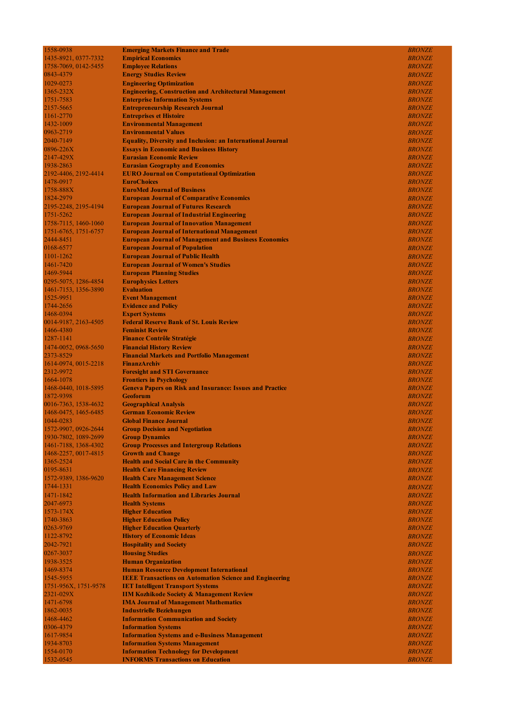| 1558-0938                         | <b>Emerging Markets Finance and Trade</b>                                                             | <b>BRONZE</b>                  |
|-----------------------------------|-------------------------------------------------------------------------------------------------------|--------------------------------|
| 1435-8921, 0377-7332              | <b>Empirical Economics</b>                                                                            | <b>BRONZE</b>                  |
| 1758-7069, 0142-5455              | <b>Employee Relations</b>                                                                             | <b>BRONZE</b>                  |
| 0843-4379                         | <b>Energy Studies Review</b>                                                                          | <b>BRONZE</b>                  |
| 1029-0273                         | <b>Engineering Optimization</b>                                                                       | <b>BRONZE</b>                  |
| 1365-232X                         | <b>Engineering, Construction and Architectural Management</b>                                         | <b>BRONZE</b>                  |
| 1751-7583                         | <b>Enterprise Information Systems</b>                                                                 | <b>BRONZE</b>                  |
| 2157-5665                         | <b>Entrepreneurship Research Journal</b>                                                              | <b>BRONZE</b>                  |
| 1161-2770                         | <b>Entreprises et Histoire</b>                                                                        | <b>BRONZE</b>                  |
| 1432-1009<br>0963-2719            | <b>Environmental Management</b><br><b>Environmental Values</b>                                        | <b>BRONZE</b>                  |
| 2040-7149                         | <b>Equality, Diversity and Inclusion: an International Journal</b>                                    | <b>BRONZE</b><br><b>BRONZE</b> |
| 0896-226X                         | <b>Essays in Economic and Business History</b>                                                        | <b>BRONZE</b>                  |
| 2147-429X                         | <b>Eurasian Economic Review</b>                                                                       | <b>BRONZE</b>                  |
| 1938-2863                         | <b>Eurasian Geography and Economics</b>                                                               | <b>BRONZE</b>                  |
| 2192-4406, 2192-4414              | <b>EURO Journal on Computational Optimization</b>                                                     | <b>BRONZE</b>                  |
| 1478-0917                         | <b>EuroChoices</b>                                                                                    | <b>BRONZE</b>                  |
| 1758-888X                         | <b>EuroMed Journal of Business</b>                                                                    | <b>BRONZE</b>                  |
| 1824-2979                         | <b>European Journal of Comparative Economics</b>                                                      | <b>BRONZE</b>                  |
| 2195-2248, 2195-4194              | <b>European Journal of Futures Research</b>                                                           | <b>BRONZE</b>                  |
| 1751-5262                         | <b>European Journal of Industrial Engineering</b>                                                     | <b>BRONZE</b>                  |
| 1758-7115, 1460-1060              | <b>European Journal of Innovation Management</b>                                                      | <b>BRONZE</b>                  |
| 1751-6765, 1751-6757              | <b>European Journal of International Management</b>                                                   | <b>BRONZE</b>                  |
| 2444-8451                         | <b>European Journal of Management and Business Economics</b><br><b>European Journal of Population</b> | <b>BRONZE</b>                  |
| 0168-6577<br>1101-1262            |                                                                                                       | <b>BRONZE</b>                  |
| 1461-7420                         | <b>European Journal of Public Health</b><br><b>European Journal of Women's Studies</b>                | <b>BRONZE</b><br><b>BRONZE</b> |
| 1469-5944                         | <b>European Planning Studies</b>                                                                      | <b>BRONZE</b>                  |
| 0295-5075, 1286-4854              | <b>Europhysics Letters</b>                                                                            | <b>BRONZE</b>                  |
| 1461-7153, 1356-3890              | <b>Evaluation</b>                                                                                     | <b>BRONZE</b>                  |
| 1525-9951                         | <b>Event Management</b>                                                                               | <b>BRONZE</b>                  |
| 1744-2656                         | <b>Evidence and Policy</b>                                                                            | <b>BRONZE</b>                  |
| 1468-0394                         | <b>Expert Systems</b>                                                                                 | <b>BRONZE</b>                  |
| 0014-9187, 2163-4505              | <b>Federal Reserve Bank of St. Louis Review</b>                                                       | <b>BRONZE</b>                  |
| 1466-4380                         | <b>Feminist Review</b>                                                                                | <b>BRONZE</b>                  |
| 1287-1141                         | <b>Finance Contrôle Stratégie</b>                                                                     | <b>BRONZE</b>                  |
| 1474-0052, 0968-5650              | <b>Financial History Review</b>                                                                       | <b>BRONZE</b>                  |
| 2373-8529                         | <b>Financial Markets and Portfolio Management</b>                                                     | <b>BRONZE</b>                  |
| 1614-0974, 0015-2218              | <b>FinanzArchiv</b>                                                                                   | <b>BRONZE</b>                  |
| 2312-9972<br>1664-1078            | <b>Foresight and STI Governance</b><br><b>Frontiers in Psychology</b>                                 | <b>BRONZE</b><br><b>BRONZE</b> |
| 1468-0440, 1018-5895              | <b>Geneva Papers on Risk and Insurance: Issues and Practice</b>                                       | <b>BRONZE</b>                  |
| 1872-9398                         | <b>Geoforum</b>                                                                                       | <b>BRONZE</b>                  |
| 0016-7363, 1538-4632              | <b>Geographical Analysis</b>                                                                          | <b>BRONZE</b>                  |
| 1468-0475, 1465-6485              | <b>German Economic Review</b>                                                                         | <b>BRONZE</b>                  |
| 1044-0283                         | <b>Global Finance Journal</b>                                                                         | <b>BRONZE</b>                  |
| 1572-9907, 0926-2644              | <b>Group Decision and Negotiation</b>                                                                 | <b>BRONZE</b>                  |
| 1930-7802, 1089-2699              | <b>Group Dynamics</b>                                                                                 | <b>BRONZE</b>                  |
| 1461-7188, 1368-4302              | <b>Group Processes and Intergroup Relations</b>                                                       | <b>BRONZE</b>                  |
| 1468-2257, 0017-4815              | <b>Growth and Change</b>                                                                              | <b>BRONZE</b>                  |
| 1365-2524<br>0195-8631            | <b>Health and Social Care in the Community</b><br><b>Health Care Financing Review</b>                 | <b>BRONZE</b>                  |
| 1572-9389, 1386-9620              | <b>Health Care Management Science</b>                                                                 | <b>BRONZE</b><br><b>BRONZE</b> |
| 1744-1331                         | <b>Health Economics Policy and Law</b>                                                                | <b>BRONZE</b>                  |
| 1471-1842                         | <b>Health Information and Libraries Journal</b>                                                       | <b>BRONZE</b>                  |
| 2047-6973                         | <b>Health Systems</b>                                                                                 | <b>BRONZE</b>                  |
| 1573-174X                         | <b>Higher Education</b>                                                                               | <b>BRONZE</b>                  |
| 1740-3863                         | <b>Higher Education Policy</b>                                                                        | <b>BRONZE</b>                  |
| 0263-9769                         | <b>Higher Education Quarterly</b>                                                                     | <b>BRONZE</b>                  |
| 1122-8792                         | <b>History of Economic Ideas</b>                                                                      | <b>BRONZE</b>                  |
| 2042-7921                         | <b>Hospitality and Society</b>                                                                        | <b>BRONZE</b>                  |
| 0267-3037                         | <b>Housing Studies</b>                                                                                | <b>BRONZE</b>                  |
| 1938-3525                         | <b>Human Organization</b>                                                                             | <b>BRONZE</b>                  |
| 1469-8374                         | <b>Human Resource Development International</b>                                                       | <b>BRONZE</b>                  |
| 1545-5955                         | <b>IEEE Transactions on Automation Science and Engineering</b>                                        | <b>BRONZE</b>                  |
| 1751-956X, 1751-9578<br>2321-029X | <b>IET Intelligent Transport Systems</b>                                                              | <b>BRONZE</b><br><b>BRONZE</b> |
| 1471-6798                         | <b>IIM Kozhikode Society &amp; Management Review</b><br><b>IMA Journal of Management Mathematics</b>  | <b>BRONZE</b>                  |
| 1862-0035                         | <b>Industrielle Beziehungen</b>                                                                       | <b>BRONZE</b>                  |
| 1468-4462                         | <b>Information Communication and Society</b>                                                          | <b>BRONZE</b>                  |
| 0306-4379                         | <b>Information Systems</b>                                                                            | <b>BRONZE</b>                  |
| 1617-9854                         | <b>Information Systems and e-Business Management</b>                                                  | <b>BRONZE</b>                  |
| 1934-8703                         | <b>Information Systems Management</b>                                                                 | <b>BRONZE</b>                  |
| 1554-0170                         | <b>Information Technology for Development</b>                                                         | <b>BRONZE</b>                  |
| 1532-0545                         | <b>INFORMS Transactions on Education</b>                                                              | <b>BRONZE</b>                  |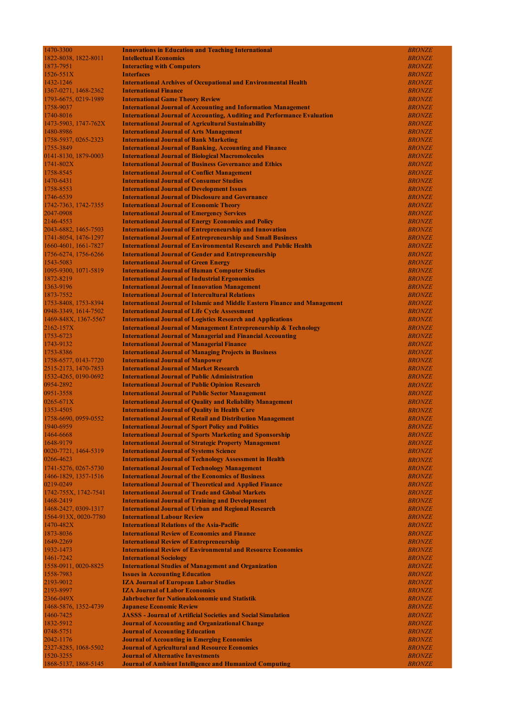| 1470-3300            | <b>Innovations in Education and Teaching International</b>                        | <b>BRONZE</b> |
|----------------------|-----------------------------------------------------------------------------------|---------------|
| 1822-8038, 1822-8011 | <b>Intellectual Economics</b>                                                     | <b>BRONZE</b> |
| 1873-7951            | <b>Interacting with Computers</b>                                                 | <b>BRONZE</b> |
| 1526-551X            | <b>Interfaces</b>                                                                 | <b>BRONZE</b> |
|                      |                                                                                   |               |
| 1432-1246            | <b>International Archives of Occupational and Environmental Health</b>            | <b>BRONZE</b> |
| 1367-0271, 1468-2362 | <b>International Finance</b>                                                      | <b>BRONZE</b> |
| 1793-6675, 0219-1989 | <b>International Game Theory Review</b>                                           | <b>BRONZE</b> |
| 1758-9037            | <b>International Journal of Accounting and Information Management</b>             | <b>BRONZE</b> |
| 1740-8016            | <b>International Journal of Accounting, Auditing and Performance Evaluation</b>   | <b>BRONZE</b> |
| 1473-5903, 1747-762X | <b>International Journal of Agricultural Sustainability</b>                       | <b>BRONZE</b> |
| 1480-8986            | <b>International Journal of Arts Management</b>                                   | <b>BRONZE</b> |
|                      |                                                                                   | <b>BRONZE</b> |
| 1758-5937, 0265-2323 | <b>International Journal of Bank Marketing</b>                                    |               |
| 1755-3849            | <b>International Journal of Banking, Accounting and Finance</b>                   | <b>BRONZE</b> |
| 0141-8130, 1879-0003 | <b>International Journal of Biological Macromolecules</b>                         | <b>BRONZE</b> |
| 1741-802X            | <b>International Journal of Business Governance and Ethics</b>                    | <b>BRONZE</b> |
| 1758-8545            | <b>International Journal of Conflict Management</b>                               | <b>BRONZE</b> |
| 1470-6431            | <b>International Journal of Consumer Studies</b>                                  | <b>BRONZE</b> |
| 1758-8553            | <b>International Journal of Development Issues</b>                                | <b>BRONZE</b> |
|                      |                                                                                   |               |
| 1746-6539            | <b>International Journal of Disclosure and Governance</b>                         | <b>BRONZE</b> |
| 1742-7363, 1742-7355 | <b>International Journal of Economic Theory</b>                                   | <b>BRONZE</b> |
| 2047-0908            | <b>International Journal of Emergency Services</b>                                | <b>BRONZE</b> |
| 2146-4553            | <b>International Journal of Energy Economics and Policy</b>                       | <b>BRONZE</b> |
| 2043-6882, 1465-7503 | <b>International Journal of Entrepreneurship and Innovation</b>                   | <b>BRONZE</b> |
| 1741-8054, 1476-1297 | <b>International Journal of Entrepreneurship and Small Business</b>               | <b>BRONZE</b> |
| 1660-4601, 1661-7827 | <b>International Journal of Environmental Research and Public Health</b>          | <b>BRONZE</b> |
|                      |                                                                                   |               |
| 1756-6274, 1756-6266 | <b>International Journal of Gender and Entrepreneurship</b>                       | <b>BRONZE</b> |
| 1543-5083            | <b>International Journal of Green Energy</b>                                      | <b>BRONZE</b> |
| 1095-9300, 1071-5819 | <b>International Journal of Human Computer Studies</b>                            | <b>BRONZE</b> |
| 1872-8219            | <b>International Journal of Industrial Ergonomics</b>                             | <b>BRONZE</b> |
| 1363-9196            | <b>International Journal of Innovation Management</b>                             | <b>BRONZE</b> |
| 1873-7552            | <b>International Journal of Intercultural Relations</b>                           | <b>BRONZE</b> |
| 1753-8408, 1753-8394 | <b>International Journal of Islamic and Middle Eastern Finance and Management</b> | <b>BRONZE</b> |
|                      |                                                                                   |               |
| 0948-3349, 1614-7502 | <b>International Journal of Life Cycle Assessment</b>                             | <b>BRONZE</b> |
| 1469-848X, 1367-5567 | <b>International Journal of Logistics Research and Applications</b>               | <b>BRONZE</b> |
| 2162-157X            | <b>International Journal of Management Entrepreneurship &amp; Technology</b>      | <b>BRONZE</b> |
| 1753-6723            | <b>International Journal of Managerial and Financial Accounting</b>               | <b>BRONZE</b> |
| 1743-9132            | <b>International Journal of Managerial Finance</b>                                | <b>BRONZE</b> |
| 1753-8386            | <b>International Journal of Managing Projects in Business</b>                     | <b>BRONZE</b> |
| 1758-6577, 0143-7720 | <b>International Journal of Manpower</b>                                          | <b>BRONZE</b> |
|                      |                                                                                   |               |
| 2515-2173, 1470-7853 | <b>International Journal of Market Research</b>                                   | <b>BRONZE</b> |
| 1532-4265, 0190-0692 | <b>International Journal of Public Administration</b>                             | <b>BRONZE</b> |
| 0954-2892            | <b>International Journal of Public Opinion Research</b>                           | <b>BRONZE</b> |
| 0951-3558            | <b>International Journal of Public Sector Management</b>                          | <b>BRONZE</b> |
| $0265 - 671X$        | <b>International Journal of Quality and Reliability Management</b>                | <b>BRONZE</b> |
| 1353-4505            | <b>International Journal of Quality in Health Care</b>                            | <b>BRONZE</b> |
|                      |                                                                                   |               |
| 1758-6690, 0959-0552 | <b>International Journal of Retail and Distribution Management</b>                | <b>BRONZE</b> |
| 1940-6959            | <b>International Journal of Sport Policy and Politics</b>                         | <b>BRONZE</b> |
| 1464-6668            | <b>International Journal of Sports Marketing and Sponsorship</b>                  | <b>BRONZE</b> |
| 1648-9179            | <b>International Journal of Strategic Property Management</b>                     | <b>BRONZE</b> |
| 0020-7721, 1464-5319 | <b>International Journal of Systems Science</b>                                   | <b>BRONZE</b> |
| 0266-4623            | <b>International Journal of Technology Assessment in Health</b>                   | <b>BRONZE</b> |
| 1741-5276, 0267-5730 | <b>International Journal of Technology Management</b>                             | <b>BRONZE</b> |
|                      |                                                                                   |               |
| 1466-1829, 1357-1516 | <b>International Journal of the Economics of Business</b>                         | <b>BRONZE</b> |
| 0219-0249            | <b>International Journal of Theoretical and Applied Finance</b>                   | <b>BRONZE</b> |
| 1742-755X, 1742-7541 | <b>International Journal of Trade and Global Markets</b>                          | <b>BRONZE</b> |
| 1468-2419            | <b>International Journal of Training and Development</b>                          | <b>BRONZE</b> |
| 1468-2427, 0309-1317 | <b>International Journal of Urban and Regional Research</b>                       | <b>BRONZE</b> |
| 1564-913X, 0020-7780 | <b>International Labour Review</b>                                                | <b>BRONZE</b> |
| 1470-482X            | <b>International Relations of the Asia-Pacific</b>                                | <b>BRONZE</b> |
| 1873-8036            | <b>International Review of Economics and Finance</b>                              | <b>BRONZE</b> |
|                      |                                                                                   |               |
| 1649-2269            | <b>International Review of Entrepreneurship</b>                                   | <b>BRONZE</b> |
| 1932-1473            | <b>International Review of Environmental and Resource Economics</b>               | <b>BRONZE</b> |
| 1461-7242            | <b>International Sociology</b>                                                    | <b>BRONZE</b> |
| 1558-0911, 0020-8825 | <b>International Studies of Management and Organization</b>                       | <b>BRONZE</b> |
| 1558-7983            | <b>Issues in Accounting Education</b>                                             | <b>BRONZE</b> |
| 2193-9012            | <b>IZA Journal of European Labor Studies</b>                                      | <b>BRONZE</b> |
| 2193-8997            | <b>IZA Journal of Labor Economics</b>                                             | <b>BRONZE</b> |
| 2366-049X            | <b>Jahrbucher fur Nationalokonomie und Statistik</b>                              | <b>BRONZE</b> |
|                      |                                                                                   |               |
| 1468-5876, 1352-4739 | <b>Japanese Economic Review</b>                                                   | <b>BRONZE</b> |
| 1460-7425            | <b>JASSS</b> - Journal of Artificial Societies and Social Simulation              | <b>BRONZE</b> |
| 1832-5912            | <b>Journal of Accounting and Organizational Change</b>                            | <b>BRONZE</b> |
| 0748-5751            | <b>Journal of Accounting Education</b>                                            | <b>BRONZE</b> |
| 2042-1176            | <b>Journal of Accounting in Emerging Economies</b>                                | <b>BRONZE</b> |
| 2327-8285, 1068-5502 | <b>Journal of Agricultural and Resource Economics</b>                             | <b>BRONZE</b> |
| 1520-3255            | <b>Journal of Alternative Investments</b>                                         | <b>BRONZE</b> |
| 1868-5137, 1868-5145 | <b>Journal of Ambient Intelligence and Humanized Computing</b>                    | <b>BRONZE</b> |
|                      |                                                                                   |               |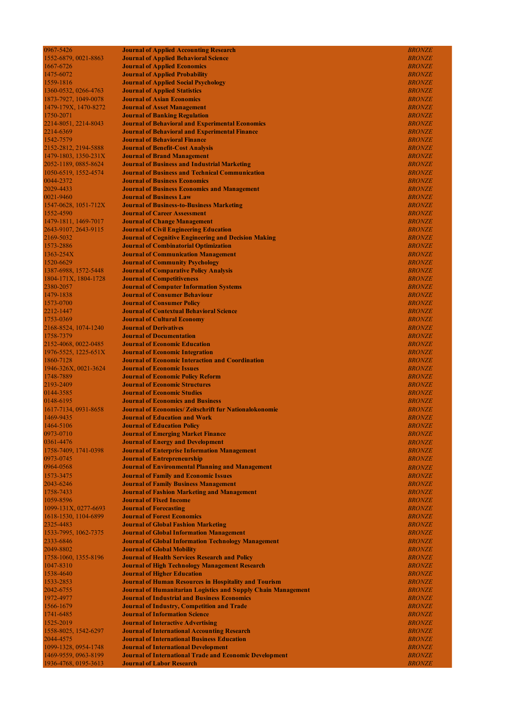| 0967-5426            | <b>Journal of Applied Accounting Research</b>                        | <b>BRONZE</b> |
|----------------------|----------------------------------------------------------------------|---------------|
| 1552-6879, 0021-8863 | <b>Journal of Applied Behavioral Science</b>                         | <b>BRONZE</b> |
| 1667-6726            | <b>Journal of Applied Economics</b>                                  | <b>BRONZE</b> |
| 1475-6072            |                                                                      | <b>BRONZE</b> |
|                      | <b>Journal of Applied Probability</b>                                |               |
| 1559-1816            | <b>Journal of Applied Social Psychology</b>                          | <b>BRONZE</b> |
| 1360-0532, 0266-4763 | <b>Journal of Applied Statistics</b>                                 | <b>BRONZE</b> |
| 1873-7927, 1049-0078 | <b>Journal of Asian Economics</b>                                    | <b>BRONZE</b> |
| 1479-179X, 1470-8272 | <b>Journal of Asset Management</b>                                   | <b>BRONZE</b> |
| 1750-2071            | <b>Journal of Banking Regulation</b>                                 | <b>BRONZE</b> |
| 2214-8051, 2214-8043 | <b>Journal of Behavioral and Experimental Economics</b>              | <b>BRONZE</b> |
| 2214-6369            | <b>Journal of Behavioral and Experimental Finance</b>                | <b>BRONZE</b> |
| 1542-7579            | <b>Journal of Behavioral Finance</b>                                 | <b>BRONZE</b> |
| 2152-2812, 2194-5888 |                                                                      |               |
|                      | <b>Journal of Benefit-Cost Analysis</b>                              | <b>BRONZE</b> |
| 1479-1803, 1350-231X | <b>Journal of Brand Management</b>                                   | <b>BRONZE</b> |
| 2052-1189, 0885-8624 | <b>Journal of Business and Industrial Marketing</b>                  | <b>BRONZE</b> |
| 1050-6519, 1552-4574 | <b>Journal of Business and Technical Communication</b>               | <b>BRONZE</b> |
| 0044-2372            | <b>Journal of Business Economics</b>                                 | <b>BRONZE</b> |
| 2029-4433            | <b>Journal of Business Economics and Management</b>                  | <b>BRONZE</b> |
| 0021-9460            | <b>Journal of Business Law</b>                                       | <b>BRONZE</b> |
| 1547-0628, 1051-712X | <b>Journal of Business-to-Business Marketing</b>                     | <b>BRONZE</b> |
| 1552-4590            | <b>Journal of Career Assessment</b>                                  | <b>BRONZE</b> |
|                      |                                                                      |               |
| 1479-1811, 1469-7017 | <b>Journal of Change Management</b>                                  | <b>BRONZE</b> |
| 2643-9107, 2643-9115 | <b>Journal of Civil Engineering Education</b>                        | <b>BRONZE</b> |
| 2169-5032            | <b>Journal of Cognitive Engineering and Decision Making</b>          | <b>BRONZE</b> |
| 1573-2886            | <b>Journal of Combinatorial Optimization</b>                         | <b>BRONZE</b> |
| 1363-254X            | <b>Journal of Communication Management</b>                           | <b>BRONZE</b> |
| 1520-6629            | <b>Journal of Community Psychology</b>                               | <b>BRONZE</b> |
| 1387-6988, 1572-5448 | <b>Journal of Comparative Policy Analysis</b>                        | <b>BRONZE</b> |
| 1804-171X, 1804-1728 | <b>Journal of Competitiveness</b>                                    | <b>BRONZE</b> |
|                      |                                                                      |               |
| 2380-2057            | <b>Journal of Computer Information Systems</b>                       | <b>BRONZE</b> |
| 1479-1838            | <b>Journal of Consumer Behaviour</b>                                 | <b>BRONZE</b> |
| 1573-0700            | <b>Journal of Consumer Policy</b>                                    | <b>BRONZE</b> |
| 2212-1447            | <b>Journal of Contextual Behavioral Science</b>                      | <b>BRONZE</b> |
| 1753-0369            | <b>Journal of Cultural Economy</b>                                   | <b>BRONZE</b> |
| 2168-8524, 1074-1240 | <b>Journal of Derivatives</b>                                        | <b>BRONZE</b> |
| 1758-7379            | <b>Journal of Documentation</b>                                      | <b>BRONZE</b> |
| 2152-4068, 0022-0485 | <b>Journal of Economic Education</b>                                 | <b>BRONZE</b> |
| 1976-5525, 1225-651X | <b>Journal of Economic Integration</b>                               | <b>BRONZE</b> |
|                      |                                                                      |               |
| 1860-7128            | <b>Journal of Economic Interaction and Coordination</b>              | <b>BRONZE</b> |
| 1946-326X, 0021-3624 | <b>Journal of Economic Issues</b>                                    | <b>BRONZE</b> |
| 1748-7889            | <b>Journal of Economic Policy Reform</b>                             | <b>BRONZE</b> |
| 2193-2409            | <b>Journal of Economic Structures</b>                                | <b>BRONZE</b> |
| 0144-3585            | <b>Journal of Economic Studies</b>                                   | <b>BRONZE</b> |
| 0148-6195            | <b>Journal of Economics and Business</b>                             | <b>BRONZE</b> |
| 1617-7134, 0931-8658 | <b>Journal of Economics/ Zeitschrift fur Nationalokonomie</b>        | <b>BRONZE</b> |
| 1469-9435            | <b>Journal of Education and Work</b>                                 | <b>BRONZE</b> |
| 1464-5106            |                                                                      | <b>BRONZE</b> |
|                      | <b>Journal of Education Policy</b>                                   |               |
| 0973-0710            | <b>Journal of Emerging Market Finance</b>                            | <b>BRONZE</b> |
| 0361-4476            | <b>Journal of Energy and Development</b>                             | <b>BRONZE</b> |
| 1758-7409, 1741-0398 | <b>Journal of Enterprise Information Management</b>                  | <b>BRONZE</b> |
| 0973-0745            | <b>Journal of Entrepreneurship</b>                                   | <b>BRONZE</b> |
| 0964-0568            | <b>Journal of Environmental Planning and Management</b>              | <b>BRONZE</b> |
| 1573-3475            | <b>Journal of Family and Economic Issues</b>                         | <b>BRONZE</b> |
|                      |                                                                      |               |
| 2043-6246            | <b>Journal of Family Business Management</b>                         | <b>BRONZE</b> |
| 1758-7433            | <b>Journal of Fashion Marketing and Management</b>                   | <b>BRONZE</b> |
| 1059-8596            | <b>Journal of Fixed Income</b>                                       | <b>BRONZE</b> |
| 1099-131X, 0277-6693 | <b>Journal of Forecasting</b>                                        | <b>BRONZE</b> |
| 1618-1530, 1104-6899 | <b>Journal of Forest Economics</b>                                   | <b>BRONZE</b> |
| 2325-4483            | <b>Journal of Global Fashion Marketing</b>                           | <b>BRONZE</b> |
| 1533-7995, 1062-7375 | <b>Journal of Global Information Management</b>                      | <b>BRONZE</b> |
| 2333-6846            | Journal of Global Information Technology Management                  | <b>BRONZE</b> |
| 2049-8802            | <b>Journal of Global Mobility</b>                                    | <b>BRONZE</b> |
| 1758-1060, 1355-8196 |                                                                      | <b>BRONZE</b> |
|                      | <b>Journal of Health Services Research and Policy</b>                |               |
| 1047-8310            | <b>Journal of High Technology Management Research</b>                | <b>BRONZE</b> |
| 1538-4640            | <b>Journal of Higher Education</b>                                   | <b>BRONZE</b> |
| 1533-2853            | <b>Journal of Human Resources in Hospitality and Tourism</b>         | <b>BRONZE</b> |
| 2042-6755            | <b>Journal of Humanitarian Logistics and Supply Chain Management</b> | <b>BRONZE</b> |
| 1972-4977            | <b>Journal of Industrial and Business Economics</b>                  | <b>BRONZE</b> |
| 1566-1679            | <b>Journal of Industry, Competition and Trade</b>                    | <b>BRONZE</b> |
| 1741-6485            | <b>Journal of Information Science</b>                                | <b>BRONZE</b> |
| 1525-2019            | <b>Journal of Interactive Advertising</b>                            | <b>BRONZE</b> |
|                      |                                                                      |               |
| 1558-8025, 1542-6297 | <b>Journal of International Accounting Research</b>                  | <b>BRONZE</b> |
| 2044-4575            | <b>Journal of International Business Education</b>                   | <b>BRONZE</b> |
| 1099-1328, 0954-1748 | <b>Journal of International Development</b>                          | <b>BRONZE</b> |
| 1469-9559, 0963-8199 | <b>Journal of International Trade and Economic Development</b>       | <b>BRONZE</b> |
| 1936-4768, 0195-3613 | <b>Journal of Labor Research</b>                                     | <b>BRONZE</b> |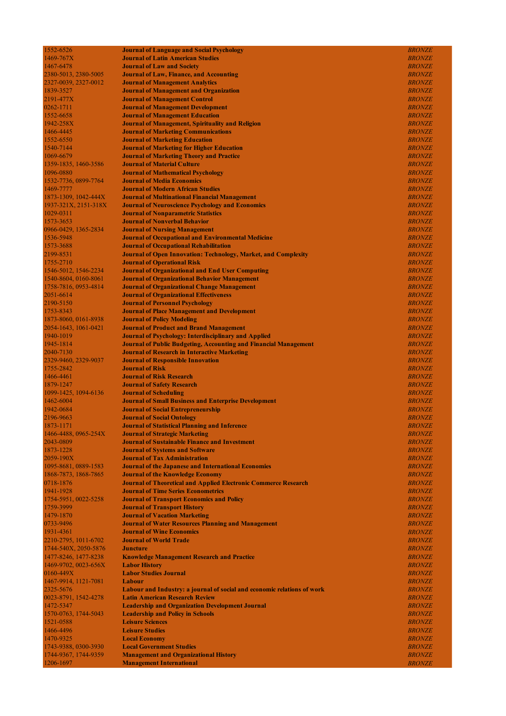| 1552-6526            | <b>Journal of Language and Social Psychology</b>                        | <b>BRONZE</b>                  |
|----------------------|-------------------------------------------------------------------------|--------------------------------|
| 1469-767X            | <b>Journal of Latin American Studies</b>                                | <b>BRONZE</b>                  |
| 1467-6478            | <b>Journal of Law and Society</b>                                       | <b>BRONZE</b>                  |
| 2380-5013, 2380-5005 | <b>Journal of Law, Finance, and Accounting</b>                          | <b>BRONZE</b>                  |
| 2327-0039, 2327-0012 | <b>Journal of Management Analytics</b>                                  | <b>BRONZE</b>                  |
| 1839-3527            | <b>Journal of Management and Organization</b>                           | <b>BRONZE</b>                  |
| 2191-477X            | <b>Journal of Management Control</b>                                    | <b>BRONZE</b>                  |
| 0262-1711            | <b>Journal of Management Development</b>                                | <b>BRONZE</b>                  |
| 1552-6658            | <b>Journal of Management Education</b>                                  | <b>BRONZE</b>                  |
| 1942-258X            | <b>Journal of Management, Spirituality and Religion</b>                 | <b>BRONZE</b>                  |
| 1466-4445            | <b>Journal of Marketing Communications</b>                              | <b>BRONZE</b>                  |
| 1552-6550            | <b>Journal of Marketing Education</b>                                   | <b>BRONZE</b>                  |
| 1540-7144            | <b>Journal of Marketing for Higher Education</b>                        | <b>BRONZE</b>                  |
| 1069-6679            |                                                                         | <b>BRONZE</b>                  |
|                      | <b>Journal of Marketing Theory and Practice</b>                         |                                |
| 1359-1835, 1460-3586 | <b>Journal of Material Culture</b>                                      | <b>BRONZE</b>                  |
| 1096-0880            | <b>Journal of Mathematical Psychology</b>                               | <b>BRONZE</b>                  |
| 1532-7736, 0899-7764 | <b>Journal of Media Economics</b>                                       | <b>BRONZE</b>                  |
| 1469-7777            | <b>Journal of Modern African Studies</b>                                | <b>BRONZE</b>                  |
| 1873-1309, 1042-444X | <b>Journal of Multinational Financial Management</b>                    | <b>BRONZE</b>                  |
| 1937-321X, 2151-318X | <b>Journal of Neuroscience Psychology and Economics</b>                 | <b>BRONZE</b>                  |
| 1029-0311            | <b>Journal of Nonparametric Statistics</b>                              | <b>BRONZE</b>                  |
| 1573-3653            | <b>Journal of Nonverbal Behavior</b>                                    | <b>BRONZE</b>                  |
| 0966-0429, 1365-2834 | <b>Journal of Nursing Management</b>                                    | <b>BRONZE</b>                  |
| 1536-5948            | <b>Journal of Occupational and Environmental Medicine</b>               | <b>BRONZE</b>                  |
| 1573-3688            | <b>Journal of Occupational Rehabilitation</b>                           | <b>BRONZE</b>                  |
| 2199-8531            | Journal of Open Innovation: Technology, Market, and Complexity          | <b>BRONZE</b>                  |
| 1755-2710            | <b>Journal of Operational Risk</b>                                      | <b>BRONZE</b>                  |
| 1546-5012, 1546-2234 | <b>Journal of Organizational and End User Computing</b>                 | <b>BRONZE</b>                  |
| 1540-8604, 0160-8061 | <b>Journal of Organizational Behavior Management</b>                    | <b>BRONZE</b>                  |
| 1758-7816, 0953-4814 | <b>Journal of Organizational Change Management</b>                      | <b>BRONZE</b>                  |
| 2051-6614            | <b>Journal of Organizational Effectiveness</b>                          | <b>BRONZE</b>                  |
| 2190-5150            | <b>Journal of Personnel Psychology</b>                                  | <b>BRONZE</b>                  |
| 1753-8343            | <b>Journal of Place Management and Development</b>                      | <b>BRONZE</b>                  |
| 1873-8060, 0161-8938 | <b>Journal of Policy Modeling</b>                                       | <b>BRONZE</b>                  |
| 2054-1643, 1061-0421 | <b>Journal of Product and Brand Management</b>                          | <b>BRONZE</b>                  |
| 1940-1019            | <b>Journal of Psychology: Interdisciplinary and Applied</b>             | <b>BRONZE</b>                  |
| 1945-1814            | <b>Journal of Public Budgeting, Accounting and Financial Management</b> | <b>BRONZE</b>                  |
| 2040-7130            | <b>Journal of Research in Interactive Marketing</b>                     | <b>BRONZE</b>                  |
| 2329-9460, 2329-9037 | <b>Journal of Responsible Innovation</b>                                | <b>BRONZE</b>                  |
| 1755-2842            | <b>Journal of Risk</b>                                                  | <b>BRONZE</b>                  |
| 1466-4461            | <b>Journal of Risk Research</b>                                         | <b>BRONZE</b>                  |
| 1879-1247            | <b>Journal of Safety Research</b>                                       | <b>BRONZE</b>                  |
| 1099-1425, 1094-6136 | <b>Journal of Scheduling</b>                                            | <b>BRONZE</b>                  |
| 1462-6004            | <b>Journal of Small Business and Enterprise Development</b>             | <b>BRONZE</b>                  |
| 1942-0684            |                                                                         |                                |
|                      | <b>Journal of Social Entrepreneurship</b>                               | <b>BRONZE</b><br><b>BRONZE</b> |
| 2196-9663            | <b>Journal of Social Ontology</b>                                       |                                |
| 1873-1171            | <b>Journal of Statistical Planning and Inference</b>                    | <b>BRONZE</b>                  |
| 1466-4488, 0965-254X | <b>Journal of Strategic Marketing</b>                                   | <b>BRONZE</b>                  |
| 2043-0809            | <b>Journal of Sustainable Finance and Investment</b>                    | <b>BRONZE</b>                  |
| 1873-1228            | <b>Journal of Systems and Software</b>                                  | <b>BRONZE</b>                  |
| 2059-190X            | <b>Journal of Tax Administration</b>                                    | <b>BRONZE</b>                  |
| 1095-8681, 0889-1583 | <b>Journal of the Japanese and International Economies</b>              | <b>BRONZE</b>                  |
| 1868-7873, 1868-7865 | <b>Journal of the Knowledge Economy</b>                                 | <b>BRONZE</b>                  |
| 0718-1876            | <b>Journal of Theoretical and Applied Electronic Commerce Research</b>  | <b>BRONZE</b>                  |
| 1941-1928            | <b>Journal of Time Series Econometrics</b>                              | <b>BRONZE</b>                  |
| 1754-5951, 0022-5258 | <b>Journal of Transport Economics and Policy</b>                        | <b>BRONZE</b>                  |
| 1759-3999            | <b>Journal of Transport History</b>                                     | <b>BRONZE</b>                  |
| 1479-1870            | <b>Journal of Vacation Marketing</b>                                    | <b>BRONZE</b>                  |
| 0733-9496            | <b>Journal of Water Resources Planning and Management</b>               | <b>BRONZE</b>                  |
| 1931-4361            | <b>Journal of Wine Economics</b>                                        | <b>BRONZE</b>                  |
| 2210-2795, 1011-6702 | <b>Journal of World Trade</b>                                           | <b>BRONZE</b>                  |
| 1744-540X, 2050-5876 | <b>Juncture</b>                                                         | <b>BRONZE</b>                  |
| 1477-8246, 1477-8238 | <b>Knowledge Management Research and Practice</b>                       | <b>BRONZE</b>                  |
| 1469-9702, 0023-656X | <b>Labor History</b>                                                    | <b>BRONZE</b>                  |
| 0160-449X            | <b>Labor Studies Journal</b>                                            | <b>BRONZE</b>                  |
| 1467-9914, 1121-7081 | Labour                                                                  | <b>BRONZE</b>                  |
| 2325-5676            | Labour and Industry: a journal of social and economic relations of work | <b>BRONZE</b>                  |
| 0023-8791, 1542-4278 | <b>Latin American Research Review</b>                                   | <b>BRONZE</b>                  |
| 1472-5347            | <b>Leadership and Organization Development Journal</b>                  | <b>BRONZE</b>                  |
| 1570-0763, 1744-5043 | <b>Leadership and Policy in Schools</b>                                 | <b>BRONZE</b>                  |
| 1521-0588            | <b>Leisure Sciences</b>                                                 | <b>BRONZE</b>                  |
|                      |                                                                         |                                |
| 1466-4496            | <b>Leisure Studies</b>                                                  | <b>BRONZE</b>                  |
| 1470-9325            | <b>Local Economy</b>                                                    | <b>BRONZE</b>                  |
| 1743-9388, 0300-3930 | <b>Local Government Studies</b>                                         | <b>BRONZE</b>                  |
| 1744-9367, 1744-9359 | <b>Management and Organizational History</b>                            | <b>BRONZE</b>                  |
| 1206-1697            | <b>Management International</b>                                         | <b>BRONZE</b>                  |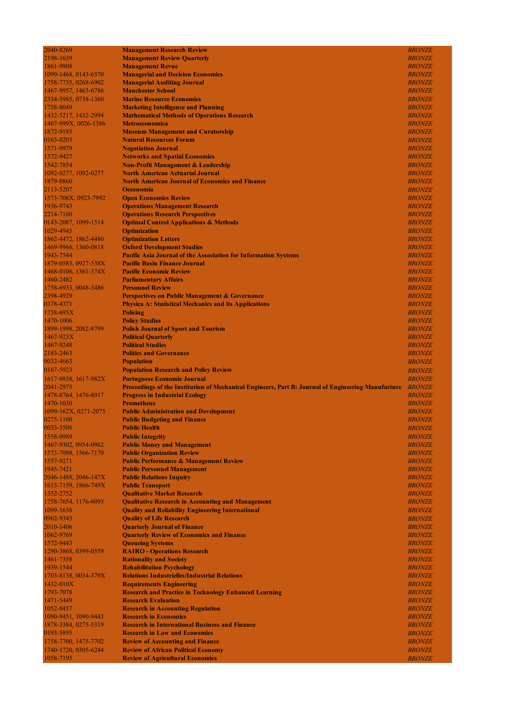| 2040-8269            | <b>Management Research Review</b>                                                                  | <b>BRONZE</b> |
|----------------------|----------------------------------------------------------------------------------------------------|---------------|
| 2198-1639            | <b>Management Review Quarterly</b>                                                                 | <b>BRONZE</b> |
| 1861-9908            | <b>Management Revue</b>                                                                            | <b>BRONZE</b> |
| 1099-1468, 0143-6570 | <b>Managerial and Decision Economics</b>                                                           | <b>BRONZE</b> |
| 1758-7735, 0268-6902 | <b>Managerial Auditing Journal</b>                                                                 | <b>BRONZE</b> |
| 1467-9957, 1463-6786 | <b>Manchester School</b>                                                                           | <b>BRONZE</b> |
| 2334-5985, 0738-1360 | <b>Marine Resource Economics</b>                                                                   | <b>BRONZE</b> |
| 1758-8049            | <b>Marketing Intelligence and Planning</b>                                                         | <b>BRONZE</b> |
| 1432-5217, 1432-2994 | <b>Mathematical Methods of Operations Research</b>                                                 | <b>BRONZE</b> |
| 1467-999X, 0026-1386 | <b>Metroeconomica</b>                                                                              | <b>BRONZE</b> |
| 1872-9185            | <b>Museum Management and Curatorship</b>                                                           | <b>BRONZE</b> |
| 0165-0203            | <b>Natural Resources Forum</b>                                                                     | <b>BRONZE</b> |
| 1571-9979            | <b>Negotiation Journal</b>                                                                         | <b>BRONZE</b> |
| 1572-9427            | <b>Networks and Spatial Economics</b>                                                              | <b>BRONZE</b> |
| 1542-7854            | <b>Non-Profit Management &amp; Leadership</b>                                                      | <b>BRONZE</b> |
| 1092-0277, 1092-0277 | <b>North American Actuarial Journal</b>                                                            | <b>BRONZE</b> |
| 1879-0860            | <b>North American Journal of Economics and Finance</b>                                             | <b>BRONZE</b> |
| 2113-5207            | <b>Oeconomia</b>                                                                                   | <b>BRONZE</b> |
| 1573-708X, 0923-7992 | <b>Open Economies Review</b>                                                                       | <b>BRONZE</b> |
| 1936-9743            | <b>Operations Management Research</b>                                                              | <b>BRONZE</b> |
| 2214-7160            | <b>Operations Research Perspectives</b>                                                            | <b>BRONZE</b> |
| 0143-2087, 1099-1514 | <b>Optimal Control Applications &amp; Methods</b>                                                  | <b>BRONZE</b> |
| 1029-4945            | <b>Optimization</b>                                                                                | <b>BRONZE</b> |
| 1862-4472, 1862-4480 | <b>Optimization Letters</b>                                                                        | <b>BRONZE</b> |
| 1469-9966, 1360-0818 | <b>Oxford Development Studies</b>                                                                  | <b>BRONZE</b> |
| 1943-7544            | <b>Pacific Asia Journal of the Association for Information Systems</b>                             | <b>BRONZE</b> |
| 1879-0585, 0927-538X | <b>Pacific Basin Finance Journal</b>                                                               | <b>BRONZE</b> |
| 1468-0106, 1361-374X | <b>Pacific Economic Review</b>                                                                     | <b>BRONZE</b> |
| 1460-2482            | <b>Parliamentary Affairs</b>                                                                       | <b>BRONZE</b> |
| 1758-6933, 0048-3486 | <b>Personnel Review</b>                                                                            | <b>BRONZE</b> |
| 2398-4929            | <b>Perspectives on Public Management &amp; Governance</b>                                          | <b>BRONZE</b> |
| 0378-4371            | <b>Physica A: Statistical Mechanics and its Applications</b>                                       | <b>BRONZE</b> |
| 1758-695X            | <b>Policing</b>                                                                                    | <b>BRONZE</b> |
| 1470-1006            | <b>Policy Studies</b>                                                                              | <b>BRONZE</b> |
| 1899-1998, 2082-8799 | <b>Polish Journal of Sport and Tourism</b>                                                         | <b>BRONZE</b> |
| 1467-923X            | <b>Political Quarterly</b>                                                                         | <b>BRONZE</b> |
| 1467-9248            | <b>Political Studies</b>                                                                           | <b>BRONZE</b> |
| 2183-2463            | <b>Politics and Governance</b>                                                                     | <b>BRONZE</b> |
| 0032-4663            | <b>Population</b>                                                                                  | <b>BRONZE</b> |
| 0167-5923            | <b>Population Research and Policy Review</b>                                                       | <b>BRONZE</b> |
| 1617-9838, 1617-982X | <b>Portuguese Economic Journal</b>                                                                 | <b>BRONZE</b> |
| 2041-2975            | Proceedings of the Institution of Mechanical Engineers, Part B: Journal of Engineering Manufacture | <b>BRONZE</b> |
| 1478-8764, 1476-8917 | <b>Progress in Industrial Ecology</b>                                                              | <b>BRONZE</b> |
| 1470-1030            | <b>Prometheus</b>                                                                                  | <b>BRONZE</b> |
| 1099-162X, 0271-2075 | <b>Public Administration and Development</b>                                                       | <b>BRONZE</b> |
| 0275-1100            | <b>Public Budgeting and Finance</b>                                                                | <b>BRONZE</b> |
| 0033-3506            | <b>Public Health</b>                                                                               | <i>BRONZE</i> |
| 1558-0989            | <b>Public Integrity</b>                                                                            | <b>BRONZE</b> |
| 1467-9302, 0954-0962 | <b>Public Money and Management</b>                                                                 | <b>BRONZE</b> |
| 1573-7098, 1566-7170 | <b>Public Organization Review</b>                                                                  | <b>BRONZE</b> |
| 1557-9271            | <b>Public Performance &amp; Management Review</b>                                                  | <b>BRONZE</b> |
| 1945-7421            | <b>Public Personnel Management</b>                                                                 | <b>BRONZE</b> |
| 2046-1488, 2046-147X | <b>Public Relations Inquiry</b>                                                                    | <b>BRONZE</b> |
| 1613-7159, 1866-749X | <b>Public Transport</b>                                                                            | <b>BRONZE</b> |
| 1352-2752            | <b>Qualitative Market Research</b>                                                                 | <b>BRONZE</b> |
| 1758-7654, 1176-6093 | <b>Qualitative Research in Accounting and Management</b>                                           | <b>BRONZE</b> |
| 1099-1638            | <b>Quality and Reliability Engineering International</b>                                           | <b>BRONZE</b> |
| 0962-9343            | <b>Quality of Life Research</b>                                                                    | <b>BRONZE</b> |
| 2010-1406            | <b>Quarterly Journal of Finance</b>                                                                | <b>BRONZE</b> |
| 1062-9769            | <b>Quarterly Review of Economics and Finance</b>                                                   | <b>BRONZE</b> |
| 1572-9443            | <b>Queueing Systems</b>                                                                            | <b>BRONZE</b> |
| 1290-3868, 0399-0559 | <b>RAIRO - Operations Research</b>                                                                 | <b>BRONZE</b> |
| 1461-7358            | <b>Rationality and Society</b>                                                                     | <b>BRONZE</b> |
| 1939-1544            | <b>Rehabilitation Psychology</b>                                                                   | <b>BRONZE</b> |
| 1703-8138, 0034-379X | <b>Relations Industrielles/Industrial Relations</b>                                                | <b>BRONZE</b> |
| 1432-010X            | <b>Requirements Engineering</b>                                                                    | <b>BRONZE</b> |
| 1793-7078            | <b>Research and Practice in Technology Enhanced Learning</b>                                       | <b>BRONZE</b> |
| 1471-5449            | <b>Research Evaluation</b>                                                                         | <b>BRONZE</b> |
| 1052-0457            | <b>Research in Accounting Regulation</b>                                                           | <b>BRONZE</b> |
| 1090-9451, 1090-9443 | <b>Research in Economics</b>                                                                       | <b>BRONZE</b> |
| 1878-3384, 0275-5319 | <b>Research in International Business and Finance</b>                                              | <b>BRONZE</b> |
| 0193-5895            | <b>Research in Law and Economics</b>                                                               | <b>BRONZE</b> |
| 1758-7700, 1475-7702 | <b>Review of Accounting and Finance</b>                                                            | <b>BRONZE</b> |
| 1740-1720, 0305-6244 | <b>Review of African Political Economy</b>                                                         | <b>BRONZE</b> |
| 1058-7195            | <b>Review of Agricultural Economics</b>                                                            | <b>BRONZE</b> |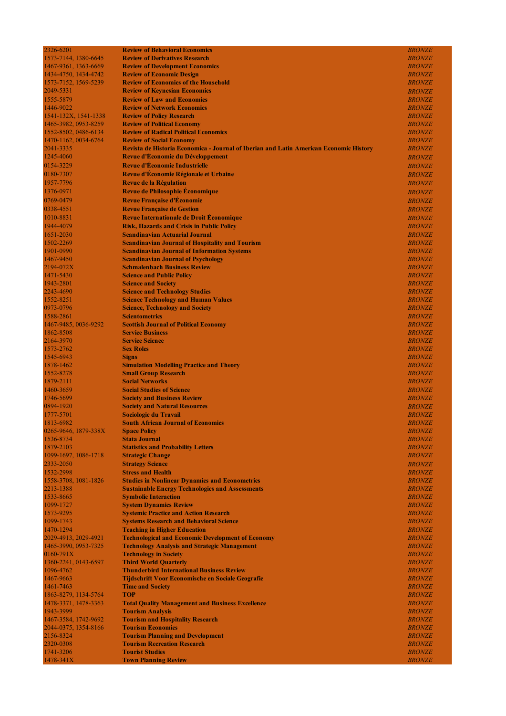| 2326-6201            | <b>Review of Behavioral Economics</b>                                                  | <b>BRONZE</b> |
|----------------------|----------------------------------------------------------------------------------------|---------------|
| 1573-7144, 1380-6645 | <b>Review of Derivatives Research</b>                                                  | <b>BRONZE</b> |
| 1467-9361, 1363-6669 | <b>Review of Development Economics</b>                                                 | <b>BRONZE</b> |
| 1434-4750, 1434-4742 | <b>Review of Economic Design</b>                                                       | <b>BRONZE</b> |
| 1573-7152, 1569-5239 | <b>Review of Economics of the Household</b>                                            | <b>BRONZE</b> |
| 2049-5331            | <b>Review of Keynesian Economics</b>                                                   | <b>BRONZE</b> |
| 1555-5879            | <b>Review of Law and Economics</b>                                                     | <b>BRONZE</b> |
| 1446-9022            | <b>Review of Network Economics</b>                                                     | <b>BRONZE</b> |
| 1541-132X, 1541-1338 | <b>Review of Policy Research</b>                                                       | <b>BRONZE</b> |
| 1465-3982, 0953-8259 | <b>Review of Political Economy</b>                                                     | <b>BRONZE</b> |
| 1552-8502, 0486-6134 | <b>Review of Radical Political Economics</b>                                           | <b>BRONZE</b> |
| 1470-1162, 0034-6764 | <b>Review of Social Economy</b>                                                        | <b>BRONZE</b> |
| 2041-3335            | Revista de Historia Economica - Journal of Iberian and Latin American Economic History | <b>BRONZE</b> |
| 1245-4060            | Revue d'Economie du Développement                                                      | <b>BRONZE</b> |
| 0154-3229            | Revue d'Économie Industrielle                                                          | <b>BRONZE</b> |
| 0180-7307            | Revue d'Économie Régionale et Urbaine                                                  | <b>BRONZE</b> |
| 1957-7796            | <b>Revue de la Régulation</b>                                                          | <b>BRONZE</b> |
| 1376-0971            | <b>Revue de Philosophie Economique</b>                                                 | <b>BRONZE</b> |
| 0769-0479            | Revue Française d'Économie                                                             |               |
|                      |                                                                                        | <b>BRONZE</b> |
| 0338-4551            | <b>Revue Française de Gestion</b>                                                      | <b>BRONZE</b> |
| 1010-8831            | <b>Revue Internationale de Droit Economique</b>                                        | <b>BRONZE</b> |
| 1944-4079            | <b>Risk, Hazards and Crisis in Public Policy</b>                                       | <b>BRONZE</b> |
| 1651-2030            | <b>Scandinavian Actuarial Journal</b>                                                  | <b>BRONZE</b> |
| 1502-2269            | <b>Scandinavian Journal of Hospitality and Tourism</b>                                 | <b>BRONZE</b> |
| 1901-0990            | <b>Scandinavian Journal of Information Systems</b>                                     | <b>BRONZE</b> |
| 1467-9450            | <b>Scandinavian Journal of Psychology</b>                                              | <b>BRONZE</b> |
| 2194-072X            | <b>Schmalenbach Business Review</b>                                                    | <b>BRONZE</b> |
| 1471-5430            | <b>Science and Public Policy</b>                                                       | <b>BRONZE</b> |
| 1943-2801            | <b>Science and Society</b>                                                             | <b>BRONZE</b> |
| 2243-4690            | <b>Science and Technology Studies</b>                                                  | <b>BRONZE</b> |
| 1552-8251            | <b>Science Technology and Human Values</b>                                             | <b>BRONZE</b> |
| 0973-0796            | <b>Science, Technology and Society</b>                                                 | <b>BRONZE</b> |
| 1588-2861            | <b>Scientometrics</b>                                                                  | <b>BRONZE</b> |
| 1467-9485, 0036-9292 | <b>Scottish Journal of Political Economy</b>                                           | <b>BRONZE</b> |
| 1862-8508            | <b>Service Business</b>                                                                | <b>BRONZE</b> |
| 2164-3970            | <b>Service Science</b>                                                                 | <b>BRONZE</b> |
| 1573-2762            | <b>Sex Roles</b>                                                                       | <b>BRONZE</b> |
| 1545-6943            | <b>Signs</b>                                                                           | <b>BRONZE</b> |
| 1878-1462            | <b>Simulation Modelling Practice and Theory</b>                                        | <b>BRONZE</b> |
| 1552-8278            | <b>Small Group Research</b>                                                            | <b>BRONZE</b> |
| 1879-2111            | <b>Social Networks</b>                                                                 | <b>BRONZE</b> |
| 1460-3659            | <b>Social Studies of Science</b>                                                       | <b>BRONZE</b> |
| 1746-5699            | <b>Society and Business Review</b>                                                     | <b>BRONZE</b> |
| 0894-1920            | <b>Society and Natural Resources</b>                                                   | <b>BRONZE</b> |
| 1777-5701            | <b>Sociologie du Travail</b>                                                           | <b>BRONZE</b> |
| 1813-6982            | <b>South African Journal of Economics</b>                                              | <b>BRONZE</b> |
| 0265-9646, 1879-338X | <b>Space Policy</b>                                                                    | <b>BRONZE</b> |
| 1536-8734            | <b>Stata Journal</b>                                                                   | <b>BRONZE</b> |
| 1879-2103            | <b>Statistics and Probability Letters</b>                                              | <b>BRONZE</b> |
| 1099-1697, 1086-1718 | <b>Strategic Change</b>                                                                | <b>BRONZE</b> |
| 2333-2050            | <b>Strategy Science</b>                                                                | <b>BRONZE</b> |
| 1532-2998            | <b>Stress and Health</b>                                                               | <b>BRONZE</b> |
| 1558-3708, 1081-1826 | <b>Studies in Nonlinear Dynamics and Econometrics</b>                                  | <b>BRONZE</b> |
| 2213-1388            | <b>Sustainable Energy Technologies and Assessments</b>                                 | <b>BRONZE</b> |
| 1533-8665            | <b>Symbolic Interaction</b>                                                            | <b>BRONZE</b> |
| 1099-1727            | <b>System Dynamics Review</b>                                                          | <b>BRONZE</b> |
| 1573-9295            | <b>Systemic Practice and Action Research</b>                                           | <b>BRONZE</b> |
| 1099-1743            | <b>Systems Research and Behavioral Science</b>                                         | <b>BRONZE</b> |
| 1470-1294            | <b>Teaching in Higher Education</b>                                                    | <b>BRONZE</b> |
| 2029-4913, 2029-4921 | <b>Technological and Economic Development of Economy</b>                               | <b>BRONZE</b> |
| 1465-3990, 0953-7325 | <b>Technology Analysis and Strategic Management</b>                                    | <b>BRONZE</b> |
| $0160 - 791X$        | <b>Technology in Society</b>                                                           | <b>BRONZE</b> |
| 1360-2241, 0143-6597 | <b>Third World Quarterly</b>                                                           | <b>BRONZE</b> |
| 1096-4762            | <b>Thunderbird International Business Review</b>                                       | <b>BRONZE</b> |
| 1467-9663            | Tijdschrift Voor Economische en Sociale Geografie                                      | <b>BRONZE</b> |
| 1461-7463            | <b>Time and Society</b>                                                                | <b>BRONZE</b> |
| 1863-8279, 1134-5764 | <b>TOP</b>                                                                             | <b>BRONZE</b> |
| 1478-3371, 1478-3363 | <b>Total Quality Management and Business Excellence</b>                                | <b>BRONZE</b> |
| 1943-3999            | <b>Tourism Analysis</b>                                                                | <b>BRONZE</b> |
| 1467-3584, 1742-9692 | <b>Tourism and Hospitality Research</b>                                                | <b>BRONZE</b> |
| 2044-0375, 1354-8166 | <b>Tourism Economics</b>                                                               | <b>BRONZE</b> |
| 2156-8324            | <b>Tourism Planning and Development</b>                                                | <b>BRONZE</b> |
| 2320-0308            | <b>Tourism Recreation Research</b>                                                     | <b>BRONZE</b> |
| 1741-3206            | <b>Tourist Studies</b>                                                                 | <b>BRONZE</b> |
| 1478-341X            | <b>Town Planning Review</b>                                                            | <b>BRONZE</b> |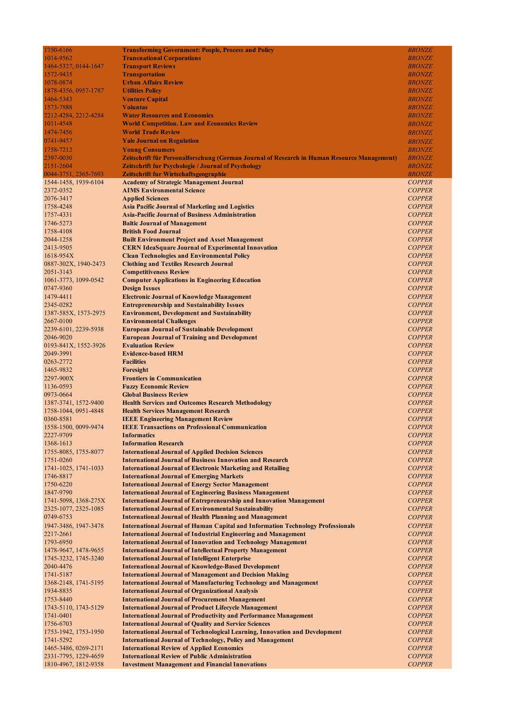| 1750-6166            | <b>Transforming Government: People, Process and Policy</b>                                  | <b>BRONZE</b> |
|----------------------|---------------------------------------------------------------------------------------------|---------------|
| 1014-9562            | <b>Transnational Corporations</b>                                                           | <b>BRONZE</b> |
| 1464-5327, 0144-1647 | <b>Transport Reviews</b>                                                                    | <b>BRONZE</b> |
| 1572-9435            | <b>Transportation</b>                                                                       | <b>BRONZE</b> |
| 1078-0874            | <b>Urban Affairs Review</b>                                                                 | <b>BRONZE</b> |
|                      |                                                                                             | <b>BRONZE</b> |
| 1878-4356, 0957-1787 | <b>Utilities Policy</b>                                                                     |               |
| 1464-5343            | <b>Venture Capital</b>                                                                      | <b>BRONZE</b> |
| 1573-7888            | <b>Voluntas</b>                                                                             | <b>BRONZE</b> |
| 2212-4284, 2212-4284 | <b>Water Resources and Economics</b>                                                        | <b>BRONZE</b> |
| 1011-4548            | <b>World Competition. Law and Economics Review</b>                                          | <b>BRONZE</b> |
| 1474-7456            | <b>World Trade Review</b>                                                                   | <b>BRONZE</b> |
| 0741-9457            | <b>Yale Journal on Regulation</b>                                                           | <b>BRONZE</b> |
| 1758-7212            | <b>Young Consumers</b>                                                                      | <b>BRONZE</b> |
| 2397-0030            | Zeitschrift für Personalforschung (German Journal of Research in Human Resource Management) | <b>BRONZE</b> |
| 2151-2604            | <b>Zeitschrift fur Psychologie / Journal of Psychology</b>                                  | <b>BRONZE</b> |
| 0044-3751, 2365-7693 | Zeitschrift fur Wirtschaftsgeographie                                                       | <b>BRONZE</b> |
| 1544-1458, 1939-6104 | <b>Academy of Strategic Management Journal</b>                                              | <b>COPPER</b> |
| 2372-0352            | <b>AIMS Environmental Science</b>                                                           | <b>COPPER</b> |
| 2076-3417            | <b>Applied Sciences</b>                                                                     | <b>COPPER</b> |
| 1758-4248            | <b>Asia Pacific Journal of Marketing and Logistics</b>                                      | <b>COPPER</b> |
| 1757-4331            | <b>Asia-Pacific Journal of Business Administration</b>                                      | <b>COPPER</b> |
| 1746-5273            | <b>Baltic Journal of Management</b>                                                         | <b>COPPER</b> |
| 1758-4108            | <b>British Food Journal</b>                                                                 | <b>COPPER</b> |
|                      |                                                                                             |               |
| 2044-1258            | <b>Built Environment Project and Asset Management</b>                                       | <b>COPPER</b> |
| 2413-9505            | <b>CERN IdeaSquare Journal of Experimental Innovation</b>                                   | <b>COPPER</b> |
| 1618-954X            | <b>Clean Technologies and Environmental Policy</b>                                          | <b>COPPER</b> |
| 0887-302X, 1940-2473 | <b>Clothing and Textiles Research Journal</b>                                               | <b>COPPER</b> |
| 2051-3143            | <b>Competitiveness Review</b>                                                               | <b>COPPER</b> |
| 1061-3773, 1099-0542 | <b>Computer Applications in Engineering Education</b>                                       | <b>COPPER</b> |
| 0747-9360            | <b>Design Issues</b>                                                                        | <b>COPPER</b> |
| 1479-4411            | <b>Electronic Journal of Knowledge Management</b>                                           | <b>COPPER</b> |
| 2345-0282            | <b>Entrepreneurship and Sustainability Issues</b>                                           | <b>COPPER</b> |
| 1387-585X, 1573-2975 | <b>Environment, Development and Sustainability</b>                                          | <b>COPPER</b> |
| 2667-0100            | <b>Environmental Challenges</b>                                                             | <b>COPPER</b> |
| 2239-6101, 2239-5938 | <b>European Journal of Sustainable Development</b>                                          | <b>COPPER</b> |
| 2046-9020            | <b>European Journal of Training and Development</b>                                         | <b>COPPER</b> |
| 0193-841X, 1552-3926 | <b>Evaluation Review</b>                                                                    | <b>COPPER</b> |
| 2049-3991            | <b>Evidence-based HRM</b>                                                                   | <b>COPPER</b> |
| 0263-2772            | <b>Facilities</b>                                                                           | <b>COPPER</b> |
| 1465-9832            | Foresight                                                                                   | <b>COPPER</b> |
| 2297-900X            | <b>Frontiers in Communication</b>                                                           | <b>COPPER</b> |
| 1136-0593            | <b>Fuzzy Economic Review</b>                                                                | <b>COPPER</b> |
| 0973-0664            | <b>Global Business Review</b>                                                               | <b>COPPER</b> |
| 1387-3741, 1572-9400 | <b>Health Services and Outcomes Research Methodology</b>                                    | <b>COPPER</b> |
| 1758-1044, 0951-4848 | <b>Health Services Management Research</b>                                                  | <b>COPPER</b> |
| 0360-8581            | <b>IEEE Engineering Management Review</b>                                                   | <b>COPPER</b> |
| 1558-1500, 0099-9474 | <b>IEEE Transactions on Professional Communication</b>                                      | <b>COPPER</b> |
| 2227-9709            | <b>Informatics</b>                                                                          | <b>COPPER</b> |
| 1368-1613            | <b>Information Research</b>                                                                 | <b>COPPER</b> |
| 1755-8085, 1755-8077 | <b>International Journal of Applied Decision Sciences</b>                                   | <b>COPPER</b> |
| 1751-0260            | <b>International Journal of Business Innovation and Research</b>                            | <b>COPPER</b> |
| 1741-1025, 1741-1033 | <b>International Journal of Electronic Marketing and Retailing</b>                          | <b>COPPER</b> |
| 1746-8817            | <b>International Journal of Emerging Markets</b>                                            | <b>COPPER</b> |
| 1750-6220            | <b>International Journal of Energy Sector Management</b>                                    | <b>COPPER</b> |
| 1847-9790            | <b>International Journal of Engineering Business Management</b>                             | <b>COPPER</b> |
| 1741-5098, 1368-275X | <b>International Journal of Entrepreneurship and Innovation Management</b>                  | <b>COPPER</b> |
| 2325-1077, 2325-1085 | <b>International Journal of Environmental Sustainability</b>                                | <b>COPPER</b> |
| 0749-6753            | <b>International Journal of Health Planning and Management</b>                              | <b>COPPER</b> |
| 1947-3486, 1947-3478 | <b>International Journal of Human Capital and Information Technology Professionals</b>      | <b>COPPER</b> |
| 2217-2661            | <b>International Journal of Industrial Engineering and Management</b>                       | <b>COPPER</b> |
| 1793-6950            | <b>International Journal of Innovation and Technology Management</b>                        | <b>COPPER</b> |
| 1478-9647, 1478-9655 | <b>International Journal of Intellectual Property Management</b>                            | <b>COPPER</b> |
| 1745-3232, 1745-3240 | <b>International Journal of Intelligent Enterprise</b>                                      | <b>COPPER</b> |
| 2040-4476            | <b>International Journal of Knowledge-Based Development</b>                                 | <b>COPPER</b> |
| 1741-5187            | <b>International Journal of Management and Decision Making</b>                              | <b>COPPER</b> |
| 1368-2148, 1741-5195 | <b>International Journal of Manufacturing Technology and Management</b>                     | <b>COPPER</b> |
| 1934-8835            | <b>International Journal of Organizational Analysis</b>                                     | <b>COPPER</b> |
| 1753-8440            | <b>International Journal of Procurement Management</b>                                      | <b>COPPER</b> |
| 1743-5110, 1743-5129 | <b>International Journal of Product Lifecycle Management</b>                                | <b>COPPER</b> |
| 1741-0401            | <b>International Journal of Productivity and Performance Management</b>                     | <b>COPPER</b> |
| 1756-6703            | <b>International Journal of Quality and Service Sciences</b>                                | <b>COPPER</b> |
| 1753-1942, 1753-1950 | <b>International Journal of Technological Learning, Innovation and Development</b>          | <b>COPPER</b> |
| 1741-5292            | <b>International Journal of Technology, Policy and Management</b>                           | <b>COPPER</b> |
| 1465-3486, 0269-2171 | <b>International Review of Applied Economics</b>                                            | <b>COPPER</b> |
| 2331-7795, 1229-4659 | <b>International Review of Public Administration</b>                                        | <b>COPPER</b> |
| 1810-4967, 1812-9358 | <b>Investment Management and Financial Innovations</b>                                      | <b>COPPER</b> |